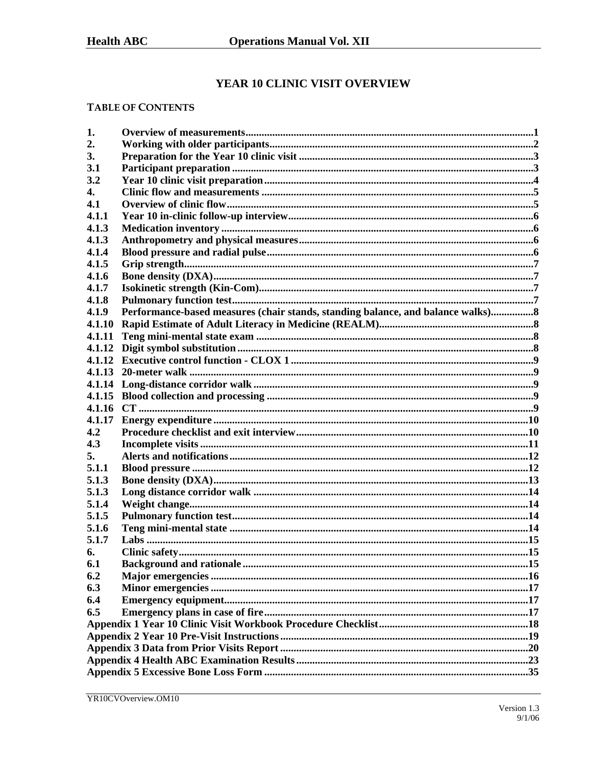# YEAR 10 CLINIC VISIT OVERVIEW

# **TABLE OF CONTENTS**

| 1.     |                                                                                  |  |  |  |  |
|--------|----------------------------------------------------------------------------------|--|--|--|--|
| 2.     |                                                                                  |  |  |  |  |
| 3.     |                                                                                  |  |  |  |  |
| 3.1    |                                                                                  |  |  |  |  |
| 3.2    |                                                                                  |  |  |  |  |
| 4.     |                                                                                  |  |  |  |  |
| 4.1    |                                                                                  |  |  |  |  |
| 4.1.1  |                                                                                  |  |  |  |  |
| 4.1.3  |                                                                                  |  |  |  |  |
| 4.1.3  |                                                                                  |  |  |  |  |
| 4.1.4  |                                                                                  |  |  |  |  |
| 4.1.5  |                                                                                  |  |  |  |  |
| 4.1.6  |                                                                                  |  |  |  |  |
| 4.1.7  |                                                                                  |  |  |  |  |
| 4.1.8  |                                                                                  |  |  |  |  |
| 4.1.9  | Performance-based measures (chair stands, standing balance, and balance walks) 8 |  |  |  |  |
| 4.1.10 |                                                                                  |  |  |  |  |
| 4.1.11 |                                                                                  |  |  |  |  |
| 4.1.12 |                                                                                  |  |  |  |  |
| 4.1.12 |                                                                                  |  |  |  |  |
| 4.1.13 |                                                                                  |  |  |  |  |
| 4.1.14 |                                                                                  |  |  |  |  |
|        |                                                                                  |  |  |  |  |
|        |                                                                                  |  |  |  |  |
| 4.1.17 |                                                                                  |  |  |  |  |
| 4.2    |                                                                                  |  |  |  |  |
| 4.3    |                                                                                  |  |  |  |  |
| 5.     |                                                                                  |  |  |  |  |
| 5.1.1  |                                                                                  |  |  |  |  |
| 5.1.3  |                                                                                  |  |  |  |  |
| 5.1.3  |                                                                                  |  |  |  |  |
| 5.1.4  |                                                                                  |  |  |  |  |
| 5.1.5  |                                                                                  |  |  |  |  |
| 5.1.6  |                                                                                  |  |  |  |  |
| 5.1.7  |                                                                                  |  |  |  |  |
| 6.     |                                                                                  |  |  |  |  |
| 6.1    |                                                                                  |  |  |  |  |
| 6.2    |                                                                                  |  |  |  |  |
| 6.3    |                                                                                  |  |  |  |  |
| 6.4    |                                                                                  |  |  |  |  |
| 6.5    |                                                                                  |  |  |  |  |
|        |                                                                                  |  |  |  |  |
|        |                                                                                  |  |  |  |  |
|        |                                                                                  |  |  |  |  |
|        |                                                                                  |  |  |  |  |
|        |                                                                                  |  |  |  |  |
|        |                                                                                  |  |  |  |  |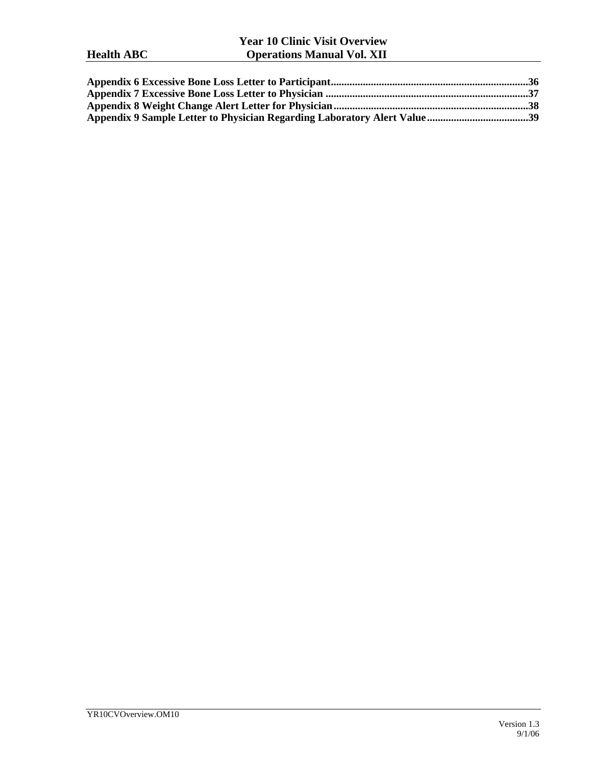# **Year 10 Clinic Visit Overview Health ABC Operations Manual Vol. XII**

| Appendix 9 Sample Letter to Physician Regarding Laboratory Alert Value39 |  |
|--------------------------------------------------------------------------|--|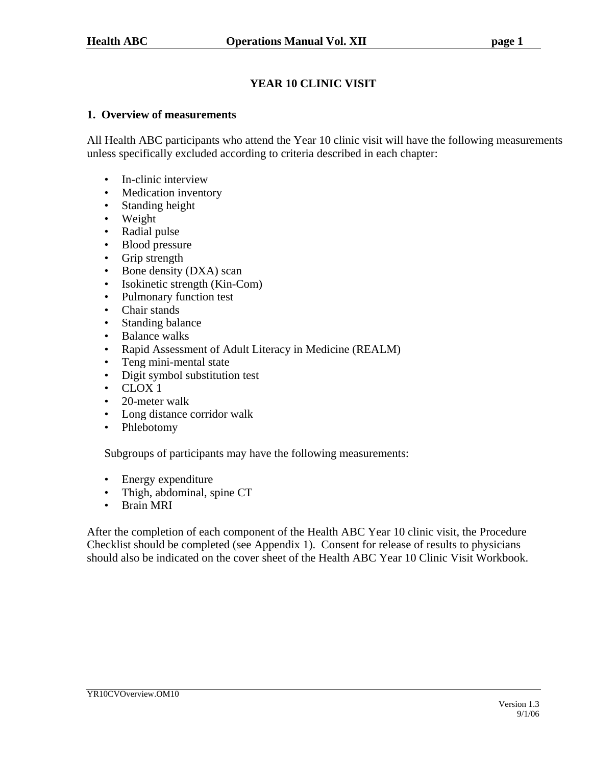# **YEAR 10 CLINIC VISIT**

#### **1. Overview of measurements**

All Health ABC participants who attend the Year 10 clinic visit will have the following measurements unless specifically excluded according to criteria described in each chapter:

- In-clinic interview
- Medication inventory
- Standing height
- Weight
- Radial pulse
- Blood pressure
- Grip strength
- Bone density (DXA) scan
- Isokinetic strength (Kin-Com)
- Pulmonary function test
- Chair stands
- Standing balance
- Balance walks
- Rapid Assessment of Adult Literacy in Medicine (REALM)
- Teng mini-mental state
- Digit symbol substitution test
- $\cdot$  CLOX 1
- 20-meter walk
- Long distance corridor walk
- Phlebotomy

Subgroups of participants may have the following measurements:

- Energy expenditure
- Thigh, abdominal, spine CT
- Brain MRI

After the completion of each component of the Health ABC Year 10 clinic visit, the Procedure Checklist should be completed (see Appendix 1). Consent for release of results to physicians should also be indicated on the cover sheet of the Health ABC Year 10 Clinic Visit Workbook.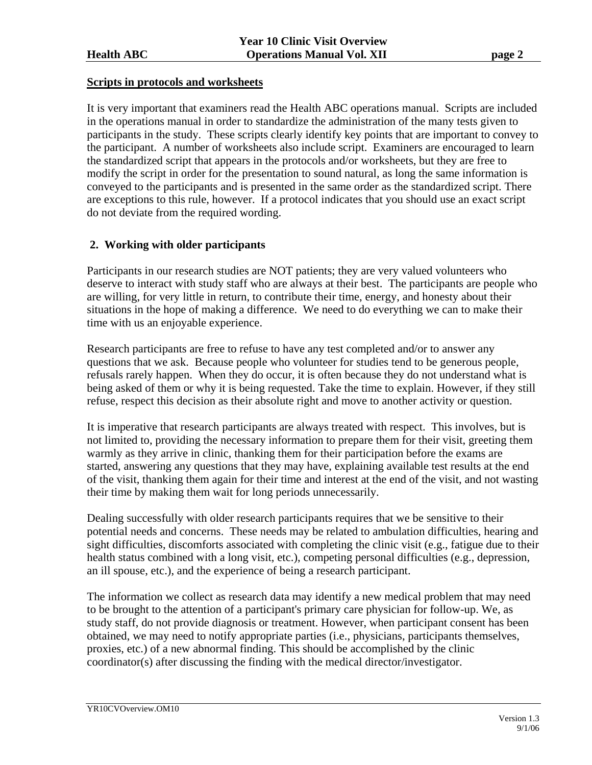#### **Scripts in protocols and worksheets**

It is very important that examiners read the Health ABC operations manual. Scripts are included in the operations manual in order to standardize the administration of the many tests given to participants in the study. These scripts clearly identify key points that are important to convey to the participant. A number of worksheets also include script. Examiners are encouraged to learn the standardized script that appears in the protocols and/or worksheets, but they are free to modify the script in order for the presentation to sound natural, as long the same information is conveyed to the participants and is presented in the same order as the standardized script. There are exceptions to this rule, however. If a protocol indicates that you should use an exact script do not deviate from the required wording.

# **2. Working with older participants**

Participants in our research studies are NOT patients; they are very valued volunteers who deserve to interact with study staff who are always at their best. The participants are people who are willing, for very little in return, to contribute their time, energy, and honesty about their situations in the hope of making a difference. We need to do everything we can to make their time with us an enjoyable experience.

Research participants are free to refuse to have any test completed and/or to answer any questions that we ask. Because people who volunteer for studies tend to be generous people, refusals rarely happen. When they do occur, it is often because they do not understand what is being asked of them or why it is being requested. Take the time to explain. However, if they still refuse, respect this decision as their absolute right and move to another activity or question.

It is imperative that research participants are always treated with respect. This involves, but is not limited to, providing the necessary information to prepare them for their visit, greeting them warmly as they arrive in clinic, thanking them for their participation before the exams are started, answering any questions that they may have, explaining available test results at the end of the visit, thanking them again for their time and interest at the end of the visit, and not wasting their time by making them wait for long periods unnecessarily.

Dealing successfully with older research participants requires that we be sensitive to their potential needs and concerns. These needs may be related to ambulation difficulties, hearing and sight difficulties, discomforts associated with completing the clinic visit (e.g., fatigue due to their health status combined with a long visit, etc.), competing personal difficulties (e.g., depression, an ill spouse, etc.), and the experience of being a research participant.

The information we collect as research data may identify a new medical problem that may need to be brought to the attention of a participant's primary care physician for follow-up. We, as study staff, do not provide diagnosis or treatment. However, when participant consent has been obtained, we may need to notify appropriate parties (i.e., physicians, participants themselves, proxies, etc.) of a new abnormal finding. This should be accomplished by the clinic coordinator(s) after discussing the finding with the medical director/investigator.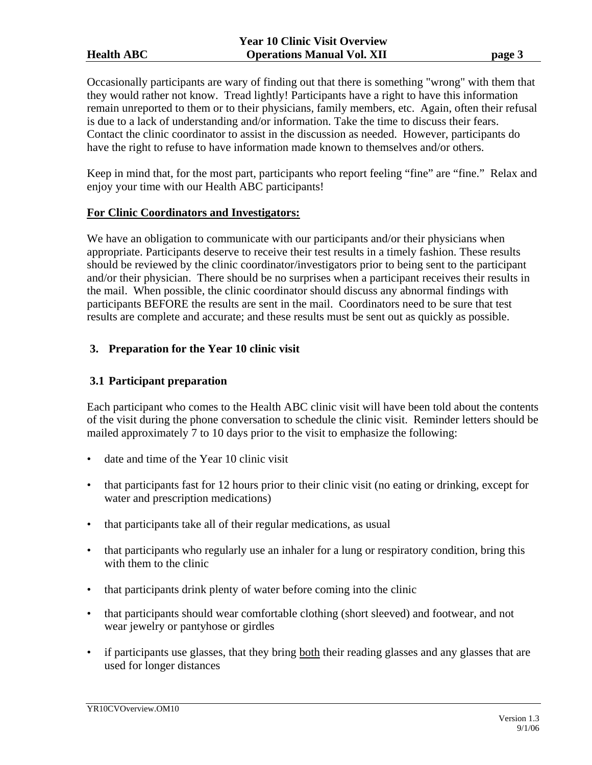Occasionally participants are wary of finding out that there is something "wrong" with them that they would rather not know. Tread lightly! Participants have a right to have this information remain unreported to them or to their physicians, family members, etc. Again, often their refusal is due to a lack of understanding and/or information. Take the time to discuss their fears. Contact the clinic coordinator to assist in the discussion as needed. However, participants do have the right to refuse to have information made known to themselves and/or others.

Keep in mind that, for the most part, participants who report feeling "fine" are "fine." Relax and enjoy your time with our Health ABC participants!

#### **For Clinic Coordinators and Investigators:**

We have an obligation to communicate with our participants and/or their physicians when appropriate. Participants deserve to receive their test results in a timely fashion. These results should be reviewed by the clinic coordinator/investigators prior to being sent to the participant and/or their physician. There should be no surprises when a participant receives their results in the mail. When possible, the clinic coordinator should discuss any abnormal findings with participants BEFORE the results are sent in the mail. Coordinators need to be sure that test results are complete and accurate; and these results must be sent out as quickly as possible.

#### **3. Preparation for the Year 10 clinic visit**

### **3.1 Participant preparation**

Each participant who comes to the Health ABC clinic visit will have been told about the contents of the visit during the phone conversation to schedule the clinic visit. Reminder letters should be mailed approximately 7 to 10 days prior to the visit to emphasize the following:

- date and time of the Year 10 clinic visit
- that participants fast for 12 hours prior to their clinic visit (no eating or drinking, except for water and prescription medications)
- that participants take all of their regular medications, as usual
- that participants who regularly use an inhaler for a lung or respiratory condition, bring this with them to the clinic
- that participants drink plenty of water before coming into the clinic
- that participants should wear comfortable clothing (short sleeved) and footwear, and not wear jewelry or pantyhose or girdles
- if participants use glasses, that they bring both their reading glasses and any glasses that are used for longer distances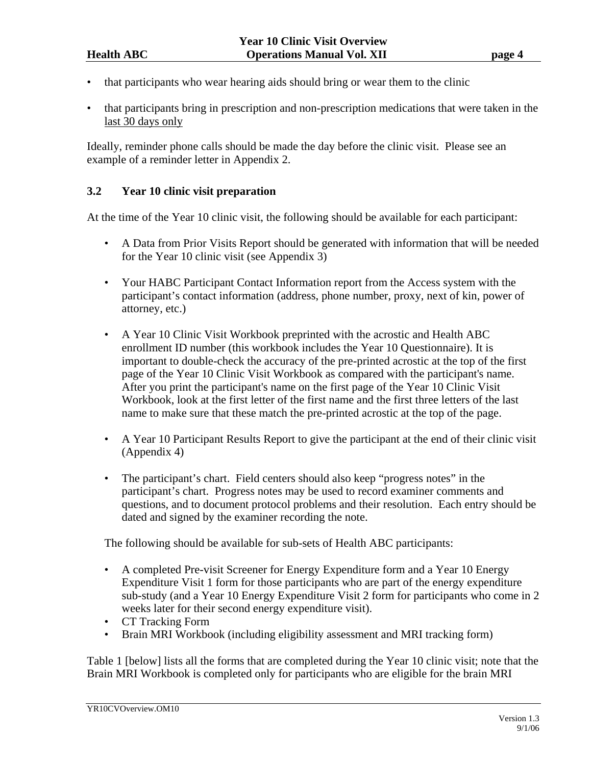- that participants who wear hearing aids should bring or wear them to the clinic
- that participants bring in prescription and non-prescription medications that were taken in the last 30 days only

Ideally, reminder phone calls should be made the day before the clinic visit. Please see an example of a reminder letter in Appendix 2.

# **3.2 Year 10 clinic visit preparation**

At the time of the Year 10 clinic visit, the following should be available for each participant:

- A Data from Prior Visits Report should be generated with information that will be needed for the Year 10 clinic visit (see Appendix 3)
- Your HABC Participant Contact Information report from the Access system with the participant's contact information (address, phone number, proxy, next of kin, power of attorney, etc.)
- A Year 10 Clinic Visit Workbook preprinted with the acrostic and Health ABC enrollment ID number (this workbook includes the Year 10 Questionnaire). It is important to double-check the accuracy of the pre-printed acrostic at the top of the first page of the Year 10 Clinic Visit Workbook as compared with the participant's name. After you print the participant's name on the first page of the Year 10 Clinic Visit Workbook, look at the first letter of the first name and the first three letters of the last name to make sure that these match the pre-printed acrostic at the top of the page.
- A Year 10 Participant Results Report to give the participant at the end of their clinic visit (Appendix 4)
- The participant's chart. Field centers should also keep "progress notes" in the participant's chart. Progress notes may be used to record examiner comments and questions, and to document protocol problems and their resolution. Each entry should be dated and signed by the examiner recording the note.

The following should be available for sub-sets of Health ABC participants:

- A completed Pre-visit Screener for Energy Expenditure form and a Year 10 Energy Expenditure Visit 1 form for those participants who are part of the energy expenditure sub-study (and a Year 10 Energy Expenditure Visit 2 form for participants who come in 2 weeks later for their second energy expenditure visit).
- CT Tracking Form
- Brain MRI Workbook (including eligibility assessment and MRI tracking form)

Table 1 [below] lists all the forms that are completed during the Year 10 clinic visit; note that the Brain MRI Workbook is completed only for participants who are eligible for the brain MRI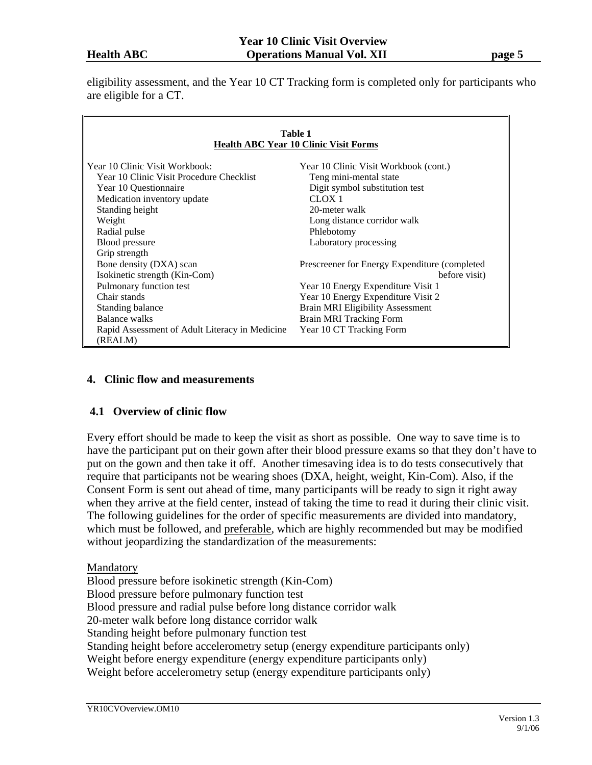eligibility assessment, and the Year 10 CT Tracking form is completed only for participants who are eligible for a CT.

| Table 1<br><b>Health ABC Year 10 Clinic Visit Forms</b> |                                                |  |  |  |  |
|---------------------------------------------------------|------------------------------------------------|--|--|--|--|
| Year 10 Clinic Visit Workbook:                          | Year 10 Clinic Visit Workbook (cont.)          |  |  |  |  |
| Year 10 Clinic Visit Procedure Checklist                | Teng mini-mental state                         |  |  |  |  |
| Year 10 Questionnaire                                   | Digit symbol substitution test                 |  |  |  |  |
| Medication inventory update                             | CLOX <sub>1</sub>                              |  |  |  |  |
| Standing height                                         | 20-meter walk                                  |  |  |  |  |
| Weight                                                  | Long distance corridor walk                    |  |  |  |  |
| Radial pulse                                            | Phlebotomy                                     |  |  |  |  |
| <b>Blood</b> pressure                                   | Laboratory processing                          |  |  |  |  |
| Grip strength                                           |                                                |  |  |  |  |
| Bone density (DXA) scan                                 | Prescreener for Energy Expenditure (completed) |  |  |  |  |
| Isokinetic strength (Kin-Com)                           | before visit)                                  |  |  |  |  |
| Pulmonary function test                                 | Year 10 Energy Expenditure Visit 1             |  |  |  |  |
| Chair stands                                            | Year 10 Energy Expenditure Visit 2             |  |  |  |  |
| Standing balance                                        | <b>Brain MRI Eligibility Assessment</b>        |  |  |  |  |
| Balance walks                                           | Brain MRI Tracking Form                        |  |  |  |  |
| Rapid Assessment of Adult Literacy in Medicine          | Year 10 CT Tracking Form                       |  |  |  |  |
| (REALM)                                                 |                                                |  |  |  |  |

#### **4. Clinic flow and measurements**

#### **4.1 Overview of clinic flow**

Every effort should be made to keep the visit as short as possible. One way to save time is to have the participant put on their gown after their blood pressure exams so that they don't have to put on the gown and then take it off. Another timesaving idea is to do tests consecutively that require that participants not be wearing shoes (DXA, height, weight, Kin-Com). Also, if the Consent Form is sent out ahead of time, many participants will be ready to sign it right away when they arrive at the field center, instead of taking the time to read it during their clinic visit. The following guidelines for the order of specific measurements are divided into mandatory, which must be followed, and preferable, which are highly recommended but may be modified without jeopardizing the standardization of the measurements:

#### Mandatory

Blood pressure before isokinetic strength (Kin-Com) Blood pressure before pulmonary function test Blood pressure and radial pulse before long distance corridor walk 20-meter walk before long distance corridor walk Standing height before pulmonary function test Standing height before accelerometry setup (energy expenditure participants only) Weight before energy expenditure (energy expenditure participants only) Weight before accelerometry setup (energy expenditure participants only)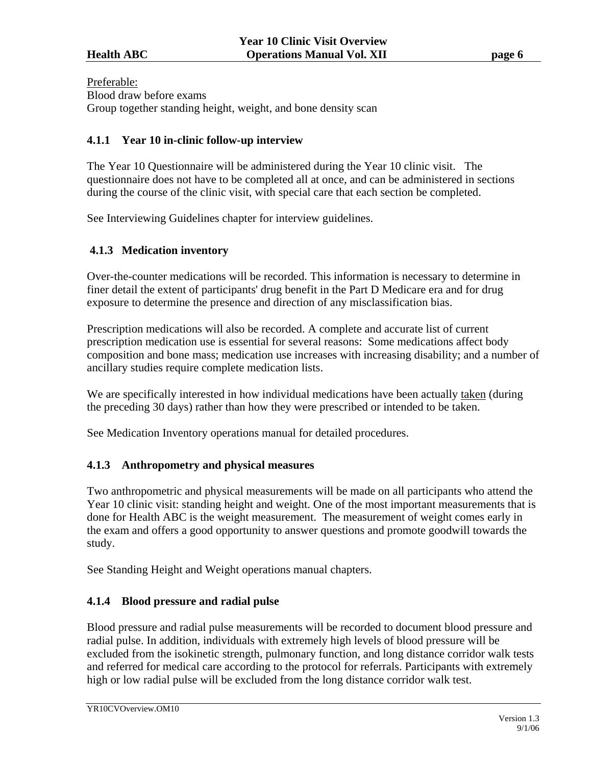Preferable:

Blood draw before exams

Group together standing height, weight, and bone density scan

#### **4.1.1 Year 10 in-clinic follow-up interview**

The Year 10 Questionnaire will be administered during the Year 10 clinic visit. The questionnaire does not have to be completed all at once, and can be administered in sections during the course of the clinic visit, with special care that each section be completed.

See Interviewing Guidelines chapter for interview guidelines.

#### **4.1.3 Medication inventory**

Over-the-counter medications will be recorded. This information is necessary to determine in finer detail the extent of participants' drug benefit in the Part D Medicare era and for drug exposure to determine the presence and direction of any misclassification bias.

Prescription medications will also be recorded. A complete and accurate list of current prescription medication use is essential for several reasons: Some medications affect body composition and bone mass; medication use increases with increasing disability; and a number of ancillary studies require complete medication lists.

We are specifically interested in how individual medications have been actually taken (during the preceding 30 days) rather than how they were prescribed or intended to be taken.

See Medication Inventory operations manual for detailed procedures.

# **4.1.3 Anthropometry and physical measures**

Two anthropometric and physical measurements will be made on all participants who attend the Year 10 clinic visit: standing height and weight. One of the most important measurements that is done for Health ABC is the weight measurement. The measurement of weight comes early in the exam and offers a good opportunity to answer questions and promote goodwill towards the study.

See Standing Height and Weight operations manual chapters.

# **4.1.4 Blood pressure and radial pulse**

Blood pressure and radial pulse measurements will be recorded to document blood pressure and radial pulse. In addition, individuals with extremely high levels of blood pressure will be excluded from the isokinetic strength, pulmonary function, and long distance corridor walk tests and referred for medical care according to the protocol for referrals. Participants with extremely high or low radial pulse will be excluded from the long distance corridor walk test.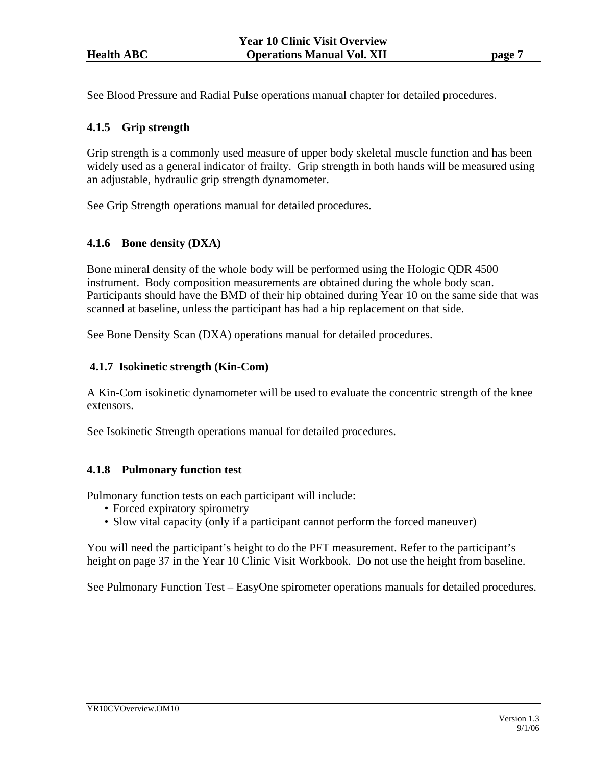See Blood Pressure and Radial Pulse operations manual chapter for detailed procedures.

### **4.1.5 Grip strength**

Grip strength is a commonly used measure of upper body skeletal muscle function and has been widely used as a general indicator of frailty. Grip strength in both hands will be measured using an adjustable, hydraulic grip strength dynamometer.

See Grip Strength operations manual for detailed procedures.

#### **4.1.6 Bone density (DXA)**

Bone mineral density of the whole body will be performed using the Hologic QDR 4500 instrument. Body composition measurements are obtained during the whole body scan. Participants should have the BMD of their hip obtained during Year 10 on the same side that was scanned at baseline, unless the participant has had a hip replacement on that side.

See Bone Density Scan (DXA) operations manual for detailed procedures.

#### **4.1.7 Isokinetic strength (Kin-Com)**

A Kin-Com isokinetic dynamometer will be used to evaluate the concentric strength of the knee extensors.

See Isokinetic Strength operations manual for detailed procedures.

#### **4.1.8 Pulmonary function test**

Pulmonary function tests on each participant will include:

- Forced expiratory spirometry
- Slow vital capacity (only if a participant cannot perform the forced maneuver)

You will need the participant's height to do the PFT measurement. Refer to the participant's height on page 37 in the Year 10 Clinic Visit Workbook. Do not use the height from baseline.

See Pulmonary Function Test – EasyOne spirometer operations manuals for detailed procedures.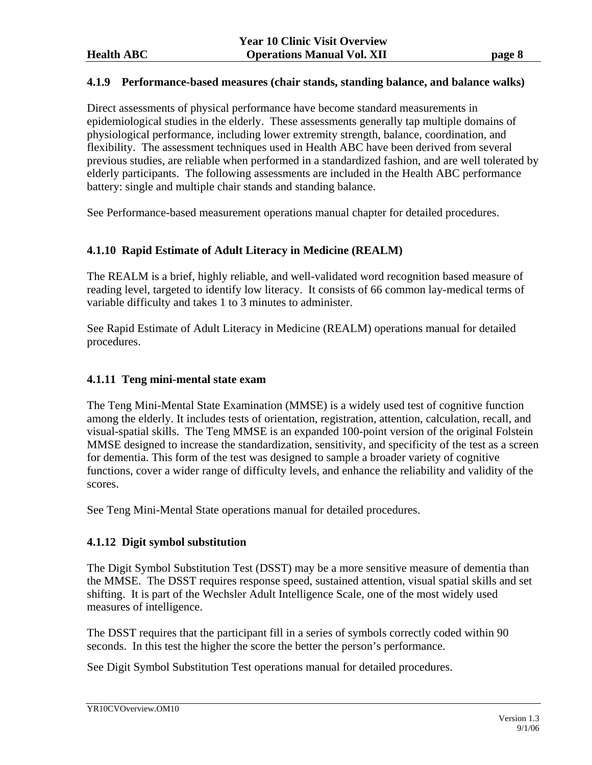#### **4.1.9 Performance-based measures (chair stands, standing balance, and balance walks)**

Direct assessments of physical performance have become standard measurements in epidemiological studies in the elderly. These assessments generally tap multiple domains of physiological performance, including lower extremity strength, balance, coordination, and flexibility. The assessment techniques used in Health ABC have been derived from several previous studies, are reliable when performed in a standardized fashion, and are well tolerated by elderly participants. The following assessments are included in the Health ABC performance battery: single and multiple chair stands and standing balance.

See Performance-based measurement operations manual chapter for detailed procedures.

#### **4.1.10 Rapid Estimate of Adult Literacy in Medicine (REALM)**

The REALM is a brief, highly reliable, and well-validated word recognition based measure of reading level, targeted to identify low literacy. It consists of 66 common lay-medical terms of variable difficulty and takes 1 to 3 minutes to administer.

See Rapid Estimate of Adult Literacy in Medicine (REALM) operations manual for detailed procedures.

#### **4.1.11 Teng mini-mental state exam**

The Teng Mini-Mental State Examination (MMSE) is a widely used test of cognitive function among the elderly. It includes tests of orientation, registration, attention, calculation, recall, and visual-spatial skills. The Teng MMSE is an expanded 100-point version of the original Folstein MMSE designed to increase the standardization, sensitivity, and specificity of the test as a screen for dementia. This form of the test was designed to sample a broader variety of cognitive functions, cover a wider range of difficulty levels, and enhance the reliability and validity of the scores.

See Teng Mini-Mental State operations manual for detailed procedures.

#### **4.1.12 Digit symbol substitution**

The Digit Symbol Substitution Test (DSST) may be a more sensitive measure of dementia than the MMSE. The DSST requires response speed, sustained attention, visual spatial skills and set shifting. It is part of the Wechsler Adult Intelligence Scale, one of the most widely used measures of intelligence.

The DSST requires that the participant fill in a series of symbols correctly coded within 90 seconds. In this test the higher the score the better the person's performance.

See Digit Symbol Substitution Test operations manual for detailed procedures.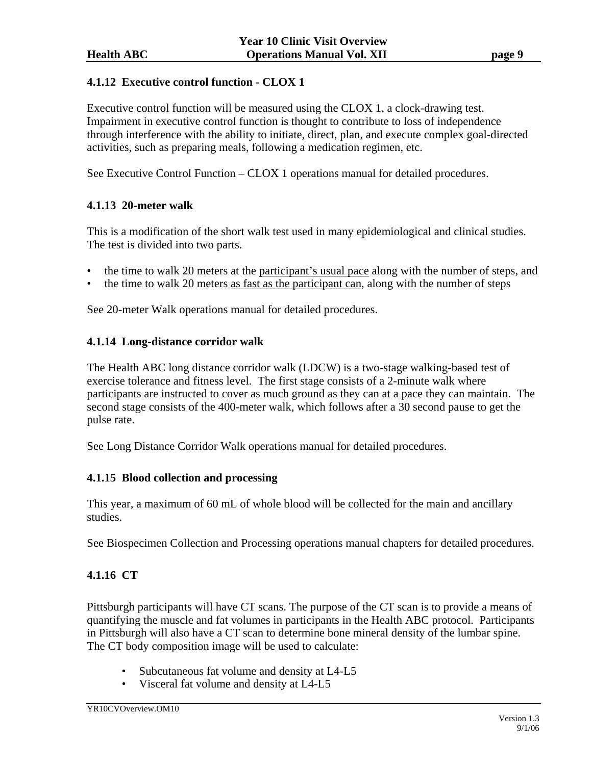### **4.1.12 Executive control function - CLOX 1**

Executive control function will be measured using the CLOX 1, a clock-drawing test. Impairment in executive control function is thought to contribute to loss of independence through interference with the ability to initiate, direct, plan, and execute complex goal-directed activities, such as preparing meals, following a medication regimen, etc.

See Executive Control Function – CLOX 1 operations manual for detailed procedures.

# **4.1.13 20-meter walk**

This is a modification of the short walk test used in many epidemiological and clinical studies. The test is divided into two parts.

- the time to walk 20 meters at the participant's usual pace along with the number of steps, and
- the time to walk 20 meters as fast as the participant can, along with the number of steps

See 20-meter Walk operations manual for detailed procedures.

#### **4.1.14 Long-distance corridor walk**

The Health ABC long distance corridor walk (LDCW) is a two-stage walking-based test of exercise tolerance and fitness level. The first stage consists of a 2-minute walk where participants are instructed to cover as much ground as they can at a pace they can maintain. The second stage consists of the 400-meter walk, which follows after a 30 second pause to get the pulse rate.

See Long Distance Corridor Walk operations manual for detailed procedures.

#### **4.1.15 Blood collection and processing**

This year, a maximum of 60 mL of whole blood will be collected for the main and ancillary studies.

See Biospecimen Collection and Processing operations manual chapters for detailed procedures.

# **4.1.16 CT**

Pittsburgh participants will have CT scans. The purpose of the CT scan is to provide a means of quantifying the muscle and fat volumes in participants in the Health ABC protocol. Participants in Pittsburgh will also have a CT scan to determine bone mineral density of the lumbar spine. The CT body composition image will be used to calculate:

- Subcutaneous fat volume and density at L4-L5
- Visceral fat volume and density at L4-L5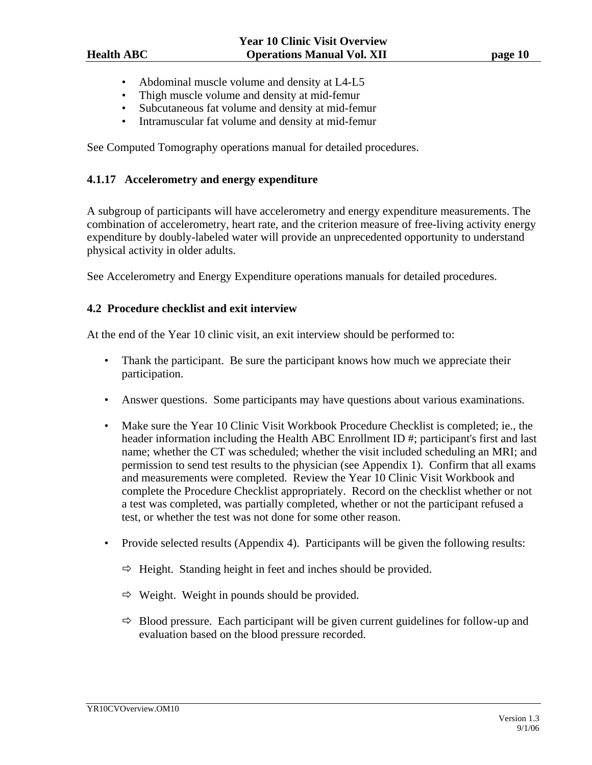- Abdominal muscle volume and density at L4-L5
- Thigh muscle volume and density at mid-femur
- Subcutaneous fat volume and density at mid-femur
- Intramuscular fat volume and density at mid-femur

See Computed Tomography operations manual for detailed procedures.

#### **4.1.17 Accelerometry and energy expenditure**

A subgroup of participants will have accelerometry and energy expenditure measurements. The combination of accelerometry, heart rate, and the criterion measure of free-living activity energy expenditure by doubly-labeled water will provide an unprecedented opportunity to understand physical activity in older adults.

See Accelerometry and Energy Expenditure operations manuals for detailed procedures.

#### **4.2 Procedure checklist and exit interview**

At the end of the Year 10 clinic visit, an exit interview should be performed to:

- Thank the participant. Be sure the participant knows how much we appreciate their participation.
- Answer questions. Some participants may have questions about various examinations.
- Make sure the Year 10 Clinic Visit Workbook Procedure Checklist is completed; ie., the header information including the Health ABC Enrollment ID #; participant's first and last name; whether the CT was scheduled; whether the visit included scheduling an MRI; and permission to send test results to the physician (see Appendix 1). Confirm that all exams and measurements were completed. Review the Year 10 Clinic Visit Workbook and complete the Procedure Checklist appropriately. Record on the checklist whether or not a test was completed, was partially completed, whether or not the participant refused a test, or whether the test was not done for some other reason.
- Provide selected results (Appendix 4). Participants will be given the following results:
	- $\Rightarrow$  Height. Standing height in feet and inches should be provided.
	- $\Rightarrow$  Weight. Weight in pounds should be provided.
	- $\Rightarrow$  Blood pressure. Each participant will be given current guidelines for follow-up and evaluation based on the blood pressure recorded.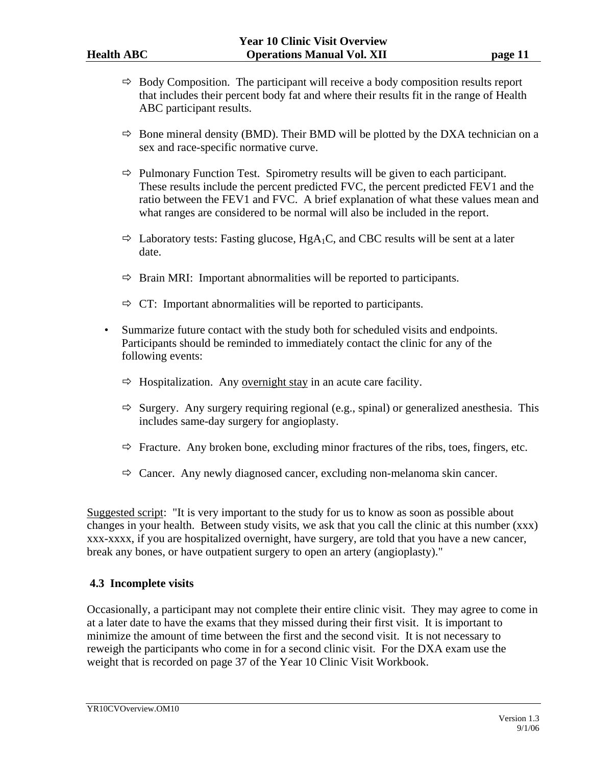- $\Rightarrow$  Body Composition. The participant will receive a body composition results report that includes their percent body fat and where their results fit in the range of Health ABC participant results.
- $\Rightarrow$  Bone mineral density (BMD). Their BMD will be plotted by the DXA technician on a sex and race-specific normative curve.
- $\Rightarrow$  Pulmonary Function Test. Spirometry results will be given to each participant. These results include the percent predicted FVC, the percent predicted FEV1 and the ratio between the FEV1 and FVC. A brief explanation of what these values mean and what ranges are considered to be normal will also be included in the report.
- $\Rightarrow$  Laboratory tests: Fasting glucose, HgA<sub>1</sub>C, and CBC results will be sent at a later date.
- $\Rightarrow$  Brain MRI: Important abnormalities will be reported to participants.
- $\Rightarrow$  CT: Important abnormalities will be reported to participants.
- Summarize future contact with the study both for scheduled visits and endpoints. Participants should be reminded to immediately contact the clinic for any of the following events:
	- $\Rightarrow$  Hospitalization. Any overnight stay in an acute care facility.
	- $\Rightarrow$  Surgery. Any surgery requiring regional (e.g., spinal) or generalized anesthesia. This includes same-day surgery for angioplasty.
	- $\Rightarrow$  Fracture. Any broken bone, excluding minor fractures of the ribs, toes, fingers, etc.
	- $\Rightarrow$  Cancer. Any newly diagnosed cancer, excluding non-melanoma skin cancer.

Suggested script: "It is very important to the study for us to know as soon as possible about changes in your health. Between study visits, we ask that you call the clinic at this number (xxx) xxx-xxxx, if you are hospitalized overnight, have surgery, are told that you have a new cancer, break any bones, or have outpatient surgery to open an artery (angioplasty)."

# **4.3 Incomplete visits**

Occasionally, a participant may not complete their entire clinic visit. They may agree to come in at a later date to have the exams that they missed during their first visit. It is important to minimize the amount of time between the first and the second visit. It is not necessary to reweigh the participants who come in for a second clinic visit. For the DXA exam use the weight that is recorded on page 37 of the Year 10 Clinic Visit Workbook.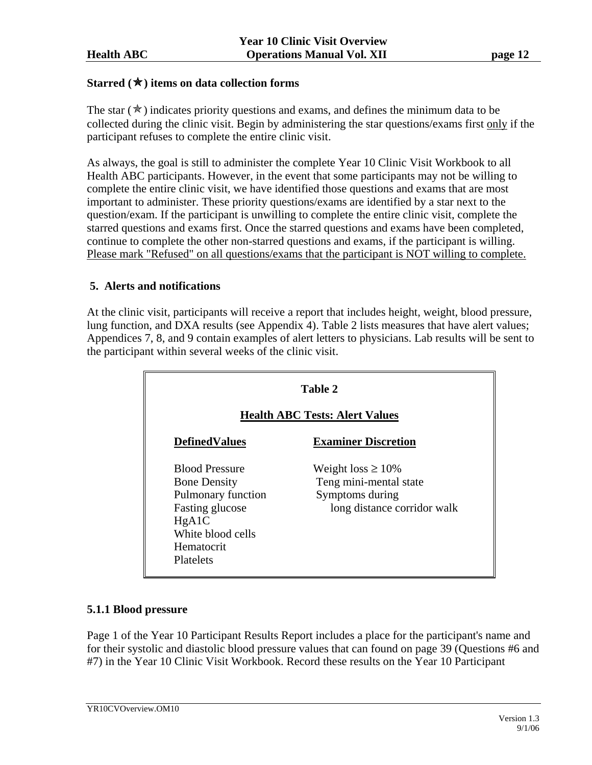#### **Starred (**Õ**) items on data collection forms**

The star  $(\star)$  indicates priority questions and exams, and defines the minimum data to be collected during the clinic visit. Begin by administering the star questions/exams first only if the participant refuses to complete the entire clinic visit.

As always, the goal is still to administer the complete Year 10 Clinic Visit Workbook to all Health ABC participants. However, in the event that some participants may not be willing to complete the entire clinic visit, we have identified those questions and exams that are most important to administer. These priority questions/exams are identified by a star next to the question/exam. If the participant is unwilling to complete the entire clinic visit, complete the starred questions and exams first. Once the starred questions and exams have been completed, continue to complete the other non-starred questions and exams, if the participant is willing. Please mark "Refused" on all questions/exams that the participant is NOT willing to complete.

#### **5. Alerts and notifications**

At the clinic visit, participants will receive a report that includes height, weight, blood pressure, lung function, and DXA results (see Appendix 4). Table 2 lists measures that have alert values; Appendices 7, 8, and 9 contain examples of alert letters to physicians. Lab results will be sent to the participant within several weeks of the clinic visit.

| Table 2<br><b>Health ABC Tests: Alert Values</b>                                                                                                      |                                                                                                     |  |  |  |
|-------------------------------------------------------------------------------------------------------------------------------------------------------|-----------------------------------------------------------------------------------------------------|--|--|--|
| <b>DefinedValues</b>                                                                                                                                  | <b>Examiner Discretion</b>                                                                          |  |  |  |
| <b>Blood Pressure</b><br><b>Bone Density</b><br>Pulmonary function<br>Fasting glucose<br>HgA1C<br>White blood cells<br>Hematocrit<br><b>Platelets</b> | Weight loss $\geq 10\%$<br>Teng mini-mental state<br>Symptoms during<br>long distance corridor walk |  |  |  |

#### **5.1.1 Blood pressure**

Page 1 of the Year 10 Participant Results Report includes a place for the participant's name and for their systolic and diastolic blood pressure values that can found on page 39 (Questions #6 and #7) in the Year 10 Clinic Visit Workbook. Record these results on the Year 10 Participant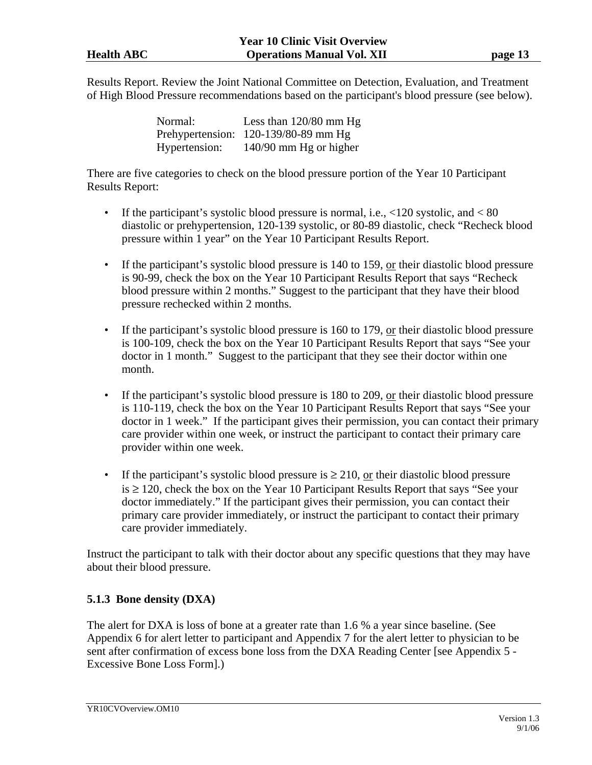Results Report. Review the Joint National Committee on Detection, Evaluation, and Treatment of High Blood Pressure recommendations based on the participant's blood pressure (see below).

| Normal:       | Less than $120/80$ mm Hg               |
|---------------|----------------------------------------|
|               | Prehypertension: $120-139/80-89$ mm Hg |
| Hypertension: | $140/90$ mm Hg or higher               |

There are five categories to check on the blood pressure portion of the Year 10 Participant Results Report:

- If the participant's systolic blood pressure is normal, i.e.,  $\langle 120 \text{ systolic}, \text{and} \langle 80 \rangle$ diastolic or prehypertension, 120-139 systolic, or 80-89 diastolic, check "Recheck blood pressure within 1 year" on the Year 10 Participant Results Report.
- If the participant's systolic blood pressure is  $140$  to  $159$ , or their diastolic blood pressure is 90-99, check the box on the Year 10 Participant Results Report that says "Recheck blood pressure within 2 months." Suggest to the participant that they have their blood pressure rechecked within 2 months.
- If the participant's systolic blood pressure is 160 to 179, or their diastolic blood pressure is 100-109, check the box on the Year 10 Participant Results Report that says "See your doctor in 1 month." Suggest to the participant that they see their doctor within one month.
- If the participant's systolic blood pressure is 180 to 209, or their diastolic blood pressure is 110-119, check the box on the Year 10 Participant Results Report that says "See your doctor in 1 week." If the participant gives their permission, you can contact their primary care provider within one week, or instruct the participant to contact their primary care provider within one week.
- If the participant's systolic blood pressure is  $\geq 210$ , or their diastolic blood pressure  $is \geq 120$ , check the box on the Year 10 Participant Results Report that says "See your doctor immediately." If the participant gives their permission, you can contact their primary care provider immediately, or instruct the participant to contact their primary care provider immediately.

Instruct the participant to talk with their doctor about any specific questions that they may have about their blood pressure.

# **5.1.3 Bone density (DXA)**

The alert for DXA is loss of bone at a greater rate than 1.6 % a year since baseline. (See Appendix 6 for alert letter to participant and Appendix 7 for the alert letter to physician to be sent after confirmation of excess bone loss from the DXA Reading Center [see Appendix 5 - Excessive Bone Loss Form].)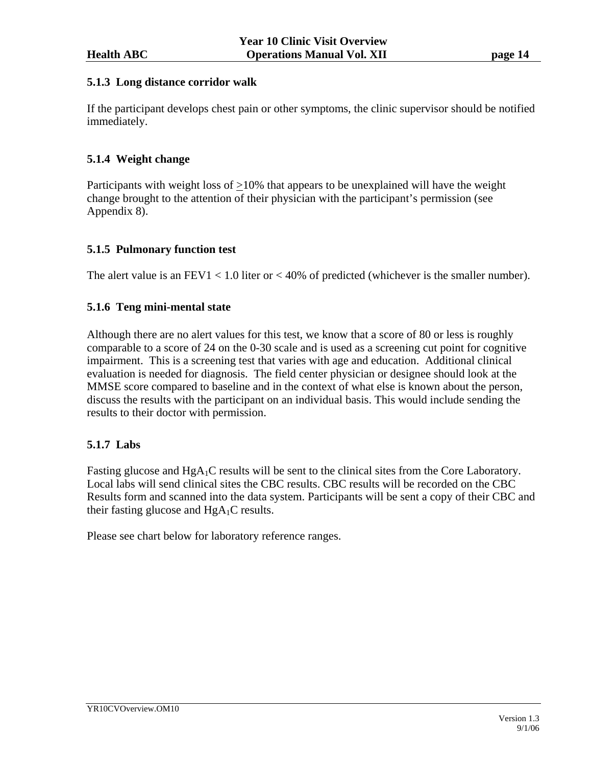#### **5.1.3 Long distance corridor walk**

If the participant develops chest pain or other symptoms, the clinic supervisor should be notified immediately.

# **5.1.4 Weight change**

Participants with weight loss of  $\geq$ 10% that appears to be unexplained will have the weight change brought to the attention of their physician with the participant's permission (see Appendix 8).

# **5.1.5 Pulmonary function test**

The alert value is an  $FEV1 < 1.0$  liter or  $< 40\%$  of predicted (whichever is the smaller number).

# **5.1.6 Teng mini-mental state**

Although there are no alert values for this test, we know that a score of 80 or less is roughly comparable to a score of 24 on the 0-30 scale and is used as a screening cut point for cognitive impairment. This is a screening test that varies with age and education. Additional clinical evaluation is needed for diagnosis. The field center physician or designee should look at the MMSE score compared to baseline and in the context of what else is known about the person, discuss the results with the participant on an individual basis. This would include sending the results to their doctor with permission.

# **5.1.7 Labs**

Fasting glucose and  $HgA_1C$  results will be sent to the clinical sites from the Core Laboratory. Local labs will send clinical sites the CBC results. CBC results will be recorded on the CBC Results form and scanned into the data system. Participants will be sent a copy of their CBC and their fasting glucose and  $HgA_1C$  results.

Please see chart below for laboratory reference ranges.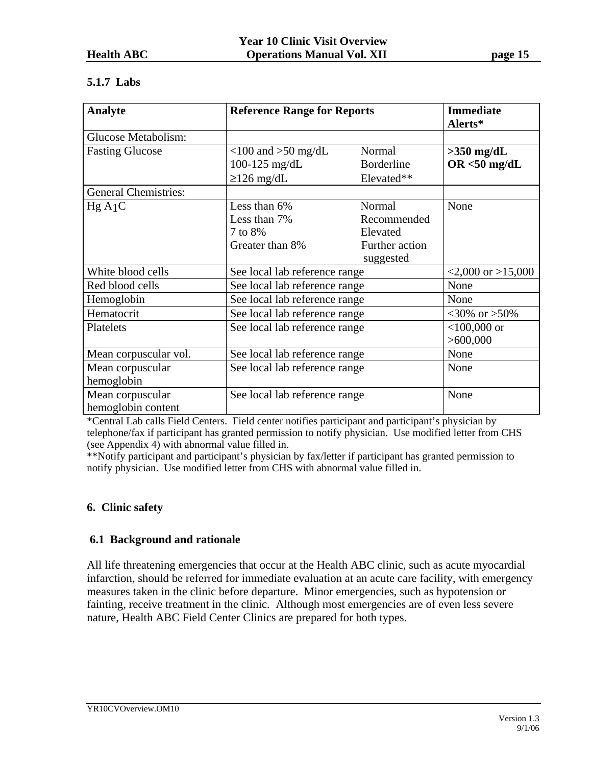# **5.1.7 Labs**

| <b>Analyte</b>                              | <b>Reference Range for Reports</b> |                   | <b>Immediate</b><br>Alerts* |
|---------------------------------------------|------------------------------------|-------------------|-----------------------------|
| Glucose Metabolism:                         |                                    |                   |                             |
| <b>Fasting Glucose</b>                      | $<$ 100 and $>$ 50 mg/dL           | Normal            | $>350$ mg/dL                |
|                                             | 100-125 $mg/dL$                    | <b>Borderline</b> | $OR < 50$ mg/dL             |
|                                             | $\geq$ 126 mg/dL                   | Elevated**        |                             |
| <b>General Chemistries:</b>                 |                                    |                   |                             |
| HgA1C                                       | Less than 6%                       | Normal            | None                        |
|                                             | Less than 7%                       | Recommended       |                             |
|                                             | 7 to 8%                            | Elevated          |                             |
|                                             | Greater than 8%                    | Further action    |                             |
|                                             |                                    | suggested         |                             |
| White blood cells                           | See local lab reference range      |                   | $<2,000$ or $>15,000$       |
| Red blood cells                             | See local lab reference range      |                   | None                        |
| Hemoglobin                                  | See local lab reference range      | None              |                             |
| Hematocrit<br>See local lab reference range |                                    |                   | $<30\% \text{ or } >50\%$   |
| Platelets                                   | See local lab reference range      |                   | $<$ 100,000 or              |
|                                             |                                    |                   | >600,000                    |
| Mean corpuscular vol.                       | See local lab reference range      |                   | None                        |
| Mean corpuscular                            | See local lab reference range      |                   | None                        |
| hemoglobin                                  |                                    |                   |                             |
| Mean corpuscular                            | See local lab reference range      |                   | None                        |
| hemoglobin content                          |                                    |                   |                             |

\*Central Lab calls Field Centers. Field center notifies participant and participant's physician by telephone/fax if participant has granted permission to notify physician. Use modified letter from CHS (see Appendix 4) with abnormal value filled in.

\*\*Notify participant and participant's physician by fax/letter if participant has granted permission to notify physician. Use modified letter from CHS with abnormal value filled in.

# **6. Clinic safety**

# **6.1 Background and rationale**

All life threatening emergencies that occur at the Health ABC clinic, such as acute myocardial infarction, should be referred for immediate evaluation at an acute care facility, with emergency measures taken in the clinic before departure. Minor emergencies, such as hypotension or fainting, receive treatment in the clinic. Although most emergencies are of even less severe nature, Health ABC Field Center Clinics are prepared for both types.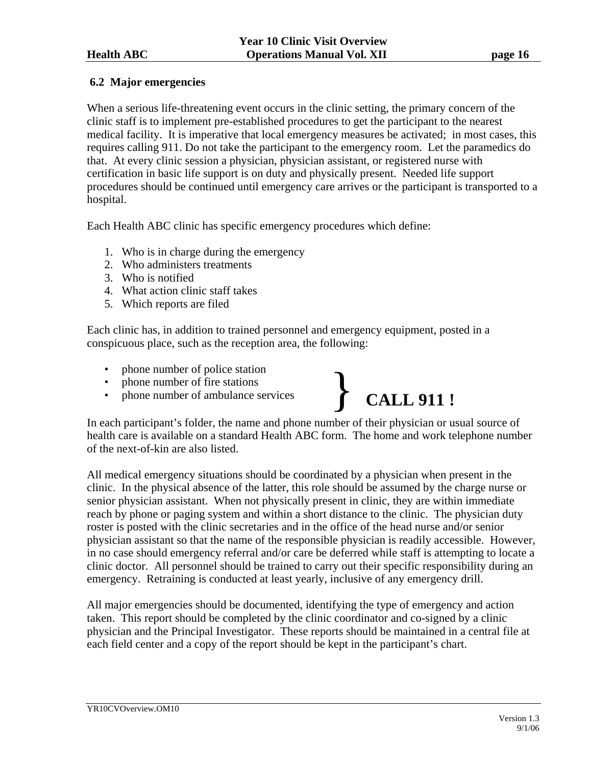### **6.2 Major emergencies**

When a serious life-threatening event occurs in the clinic setting, the primary concern of the clinic staff is to implement pre-established procedures to get the participant to the nearest medical facility. It is imperative that local emergency measures be activated; in most cases, this requires calling 911. Do not take the participant to the emergency room. Let the paramedics do that. At every clinic session a physician, physician assistant, or registered nurse with certification in basic life support is on duty and physically present. Needed life support procedures should be continued until emergency care arrives or the participant is transported to a hospital.

Each Health ABC clinic has specific emergency procedures which define:

- 1. Who is in charge during the emergency
- 2. Who administers treatments
- 3. Who is notified
- 4. What action clinic staff takes
- 5. Which reports are filed

Each clinic has, in addition to trained personnel and emergency equipment, posted in a conspicuous place, such as the reception area, the following:

- phone number of police station
- phone number of fire stations
- 



In each participant's folder, the name and phone number of their physician or usual source of health care is available on a standard Health ABC form. The home and work telephone number of the next-of-kin are also listed.

All medical emergency situations should be coordinated by a physician when present in the clinic. In the physical absence of the latter, this role should be assumed by the charge nurse or senior physician assistant. When not physically present in clinic, they are within immediate reach by phone or paging system and within a short distance to the clinic. The physician duty roster is posted with the clinic secretaries and in the office of the head nurse and/or senior physician assistant so that the name of the responsible physician is readily accessible. However, in no case should emergency referral and/or care be deferred while staff is attempting to locate a clinic doctor. All personnel should be trained to carry out their specific responsibility during an emergency. Retraining is conducted at least yearly, inclusive of any emergency drill.

All major emergencies should be documented, identifying the type of emergency and action taken. This report should be completed by the clinic coordinator and co-signed by a clinic physician and the Principal Investigator. These reports should be maintained in a central file at each field center and a copy of the report should be kept in the participant's chart.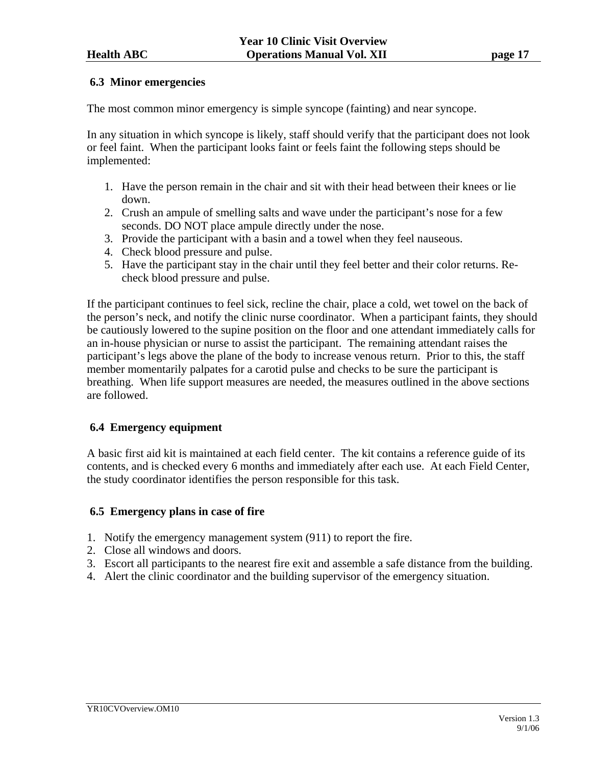#### **6.3 Minor emergencies**

The most common minor emergency is simple syncope (fainting) and near syncope.

In any situation in which syncope is likely, staff should verify that the participant does not look or feel faint. When the participant looks faint or feels faint the following steps should be implemented:

- 1. Have the person remain in the chair and sit with their head between their knees or lie down.
- 2. Crush an ampule of smelling salts and wave under the participant's nose for a few seconds. DO NOT place ampule directly under the nose.
- 3. Provide the participant with a basin and a towel when they feel nauseous.
- 4. Check blood pressure and pulse.
- 5. Have the participant stay in the chair until they feel better and their color returns. Recheck blood pressure and pulse.

If the participant continues to feel sick, recline the chair, place a cold, wet towel on the back of the person's neck, and notify the clinic nurse coordinator. When a participant faints, they should be cautiously lowered to the supine position on the floor and one attendant immediately calls for an in-house physician or nurse to assist the participant. The remaining attendant raises the participant's legs above the plane of the body to increase venous return. Prior to this, the staff member momentarily palpates for a carotid pulse and checks to be sure the participant is breathing. When life support measures are needed, the measures outlined in the above sections are followed.

# **6.4 Emergency equipment**

A basic first aid kit is maintained at each field center. The kit contains a reference guide of its contents, and is checked every 6 months and immediately after each use. At each Field Center, the study coordinator identifies the person responsible for this task.

#### **6.5 Emergency plans in case of fire**

- 1. Notify the emergency management system (911) to report the fire.
- 2. Close all windows and doors.
- 3. Escort all participants to the nearest fire exit and assemble a safe distance from the building.
- 4. Alert the clinic coordinator and the building supervisor of the emergency situation.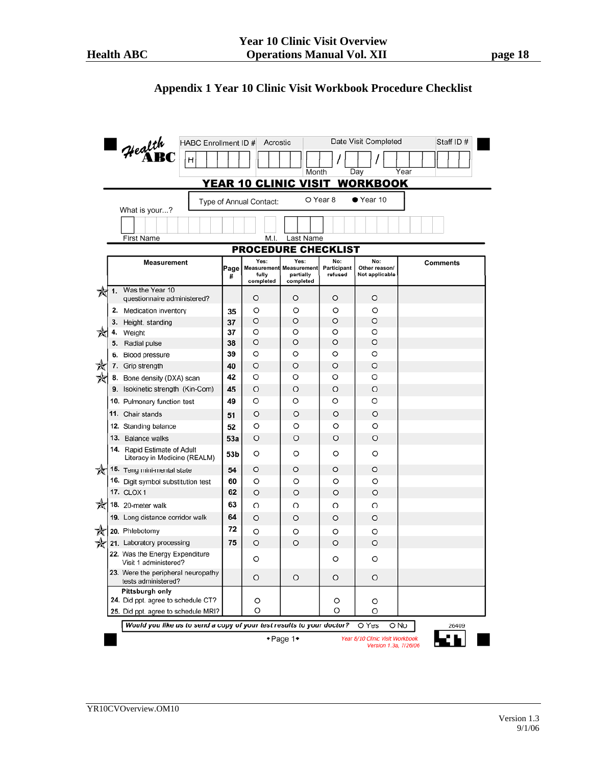# **Appendix 1 Year 10 Clinic Visit Workbook Procedure Checklist**

|    |                      | HABC Enrollment ID #                                                      |           | Acrostic                    |                                                   |                        | Date Visit Completed            | Staff ID#       |
|----|----------------------|---------------------------------------------------------------------------|-----------|-----------------------------|---------------------------------------------------|------------------------|---------------------------------|-----------------|
|    | $4$ ealth<br>Н       |                                                                           |           |                             |                                                   |                        |                                 |                 |
|    | Day<br>Year<br>Month |                                                                           |           |                             |                                                   |                        |                                 |                 |
|    |                      |                                                                           |           | <u>YEAR 10 CLINIC VISIT</u> |                                                   |                        | <b>WORKBOOK</b>                 |                 |
|    |                      | What is your?                                                             |           | Type of Annual Contact:     |                                                   | O Year 8               | $\bullet$ Year 10               |                 |
|    |                      |                                                                           |           |                             |                                                   |                        |                                 |                 |
|    |                      | First Name                                                                |           | M.I.                        | Last Name                                         |                        |                                 |                 |
|    |                      |                                                                           |           | <b>PROCEDURE CHECKLIST</b>  |                                                   |                        |                                 |                 |
|    |                      | <b>Measurement</b>                                                        |           | Yes:                        | Yes.                                              | No:                    | No:                             | <b>Comments</b> |
|    |                      |                                                                           | Page<br># | fully<br>completed          | Measurement Measurement<br>partially<br>completed | Participant<br>refused | Other reason/<br>Not applicable |                 |
| ₩  | 1.                   | Was the Year 10<br>questionnaire administered?                            |           | O                           | O                                                 | O                      | O                               |                 |
|    |                      | 2. Medication inventory                                                   | 35        | O                           | O                                                 | O                      | O                               |                 |
|    |                      | 3. Height, standing                                                       | 37        | O                           | O                                                 | $\circ$                | $\circ$                         |                 |
| ₩  | 4.                   | Weight                                                                    | 37        | O                           | O                                                 | O                      | O                               |                 |
|    |                      | 5. Radial pulse                                                           | 38        | O                           | O                                                 | O                      | $\circ$                         |                 |
|    |                      | 6. Blood pressure                                                         | 39        | O                           | O                                                 | O                      | O                               |                 |
| 文文 |                      | 7. Grip strength                                                          | 40        | O                           | O                                                 | O                      | O                               |                 |
|    |                      | 8. Bone density (DXA) scan                                                | 42        | O                           | O                                                 | O                      | O                               |                 |
|    |                      | 9. Isokinetic strength (Kin-Com)                                          | 45        | O                           | O                                                 | O                      | O                               |                 |
|    |                      | 10. Pulmonary function test                                               | 49        | O                           | O                                                 | O                      | O                               |                 |
|    |                      | 11. Chair stands                                                          | 51        | O                           | O                                                 | O                      | $\circ$                         |                 |
|    |                      | 12. Standing balance                                                      | 52        | O                           | O                                                 | O                      | O                               |                 |
|    |                      | 13. Balance walks                                                         | 53a       | O                           | O                                                 | O                      | $\circ$                         |                 |
|    |                      | 14. Rapid Estimate of Adult<br>Literacy in Medicine (REALM)               | 53b       | O                           | O                                                 | O                      | O                               |                 |
| ₩  |                      | 15. Teng mini-mental state                                                | 54        | O                           | O                                                 | O                      | $\circ$                         |                 |
|    |                      | 16. Digit symbol substitution test                                        | 60        | O                           | O                                                 | O                      | O                               |                 |
|    |                      | <b>17. CLOX1</b>                                                          | 62        | O                           | O                                                 | O                      | O                               |                 |
| ₩  |                      | 18. 20-meter walk                                                         | 63        | O                           | O                                                 | O                      | O                               |                 |
|    |                      | 19. Long distance corridor walk                                           | 64        | O                           | O                                                 | O                      | O                               |                 |
| ✬  |                      | 20. Phlebotomy                                                            | 72        | O                           | O                                                 | O                      | O                               |                 |
| ₩  |                      | 21. Laboratory processing                                                 | 75        | $\circ$                     | $\circ$                                           | O                      | $\circ$                         |                 |
|    |                      | 22. Was the Energy Expenditure<br>Visit 1 administered?                   |           | O                           |                                                   | O                      | O                               |                 |
|    |                      | 23. Were the peripheral neuropathy<br>tests administered?                 |           | O                           | O                                                 | O                      | O                               |                 |
|    |                      | Pittsburgh only                                                           |           |                             |                                                   |                        |                                 |                 |
|    |                      | 24. Did ppt. agree to schedule CT?<br>25. Did ppt. agree to schedule MRI? |           | O<br>O                      |                                                   | O<br>O                 | O<br>O                          |                 |
|    |                      | Would you like us to send a copy of your test results to your doctor?     |           |                             |                                                   |                        | O Yes                           | O No<br>26409   |
|    |                      |                                                                           |           |                             | +Page 1+                                          |                        | Year 8/10 Clinic Visit Workbook |                 |
|    |                      |                                                                           |           |                             |                                                   |                        | Version 1.3a, 7/26/06           |                 |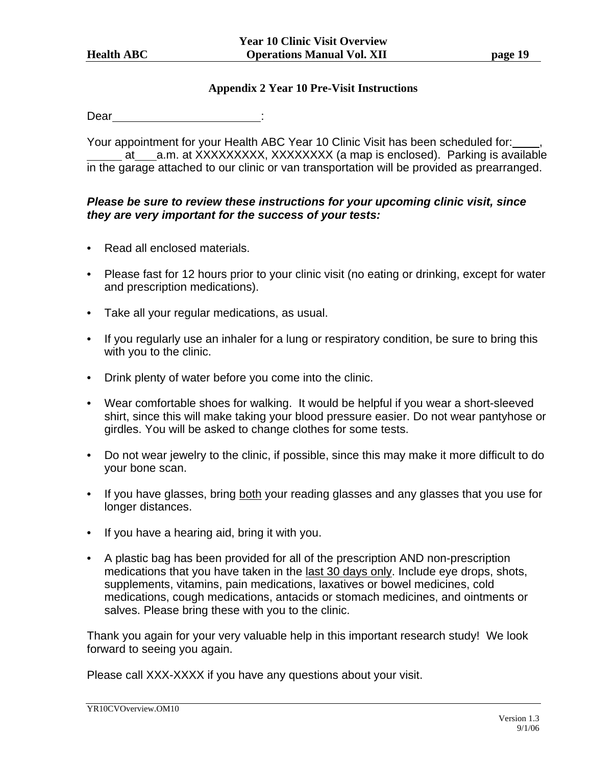#### **Appendix 2 Year 10 Pre-Visit Instructions**

Dear : and the state of the state of the state of the state of the state of the state of the state of the state of the state of the state of the state of the state of the state of the state of the state of the state of the

Your appointment for your Health ABC Year 10 Clinic Visit has been scheduled for: at a.m. at XXXXXXXXX, XXXXXXXX (a map is enclosed). Parking is available in the garage attached to our clinic or van transportation will be provided as prearranged.

# *Please be sure to review these instructions for your upcoming clinic visit, since they are very important for the success of your tests:*

- Read all enclosed materials.
- Please fast for 12 hours prior to your clinic visit (no eating or drinking, except for water and prescription medications).
- Take all your regular medications, as usual.
- If you regularly use an inhaler for a lung or respiratory condition, be sure to bring this with you to the clinic.
- Drink plenty of water before you come into the clinic.
- Wear comfortable shoes for walking. It would be helpful if you wear a short-sleeved shirt, since this will make taking your blood pressure easier. Do not wear pantyhose or girdles. You will be asked to change clothes for some tests.
- Do not wear jewelry to the clinic, if possible, since this may make it more difficult to do your bone scan.
- If you have glasses, bring both your reading glasses and any glasses that you use for longer distances.
- If you have a hearing aid, bring it with you.
- A plastic bag has been provided for all of the prescription AND non-prescription medications that you have taken in the last 30 days only. Include eye drops, shots, supplements, vitamins, pain medications, laxatives or bowel medicines, cold medications, cough medications, antacids or stomach medicines, and ointments or salves. Please bring these with you to the clinic.

Thank you again for your very valuable help in this important research study! We look forward to seeing you again.

Please call XXX-XXXX if you have any questions about your visit.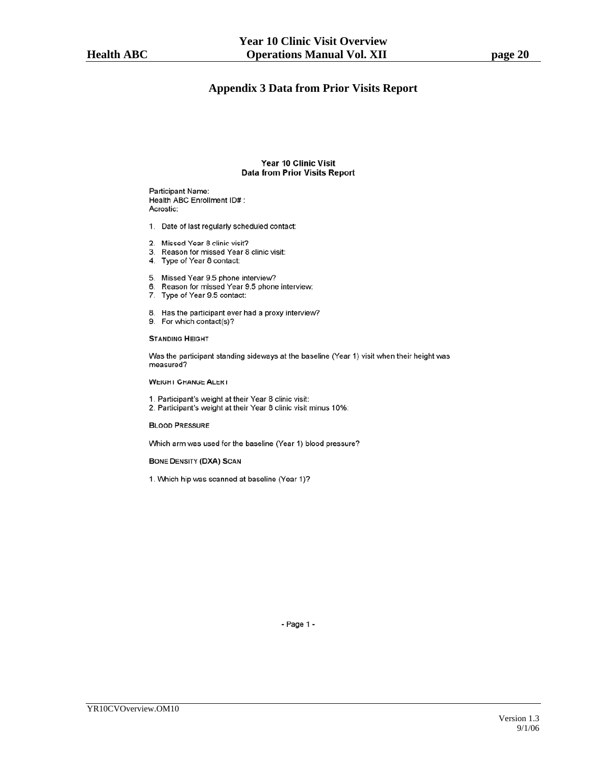#### **Appendix 3 Data from Prior Visits Report**

#### Year 10 Clinic Visit **Data from Prior Visits Report**

Participant Name: Health ABC Enrollment ID# : Acrostic:

- 1. Date of last regularly scheduled contact:
- 2. Missed Year 8 clinic visit?
- 3. Reason for missed Year 8 clinic visit:
- 4. Type of Year 8 contact:
- 5. Missed Year 9.5 phone interview?
- 6. Reason for missed Year 9.5 phone interview:
- 7. Type of Year 9.5 contact:
- 8. Has the participant ever had a proxy interview?
- 9. For which contact(s)?

#### **STANDING HEIGHT**

Was the participant standing sideways at the baseline (Year 1) visit when their height was measured?

**WEIGHT CHANGE ALERT** 

- 1. Participant's weight at their Year 8 clinic visit:
- 2. Participant's weight at their Year 8 clinic visit minus 10%:

**BLOOD PRESSURE** 

Which arm was used for the baseline (Year 1) blood pressure?

**BONE DENSITY (DXA) SCAN** 

1. Which hip was scanned at baseline (Year 1)?

- Page 1 -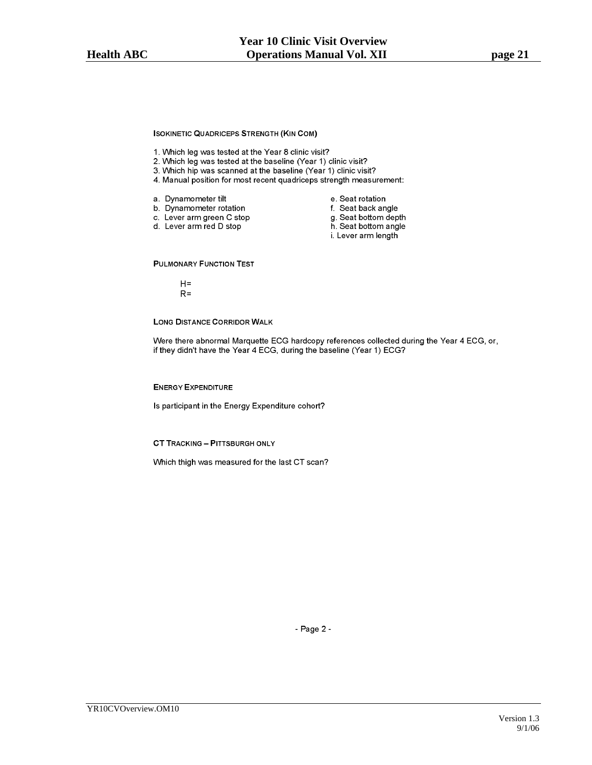**ISOKINETIC QUADRICEPS STRENGTH (KIN COM)** 

- 1. Which leg was tested at the Year 8 clinic visit?
- 2. Which leg was tested at the baseline (Year 1) clinic visit?
- 3. Which hip was scanned at the baseline (Year 1) clinic visit?
- 4. Manual position for most recent quadriceps strength measurement:
- a. Dynamometer tilt
	-
- b. Dynamometer rotation c. Lever arm green C stop
- d. Lever arm red D stop
	-
- e. Seat rotation
- f. Seat back angle
- g. Seat bottom depth
- h. Seat bottom angle
- i. Lever arm length

**PULMONARY FUNCTION TEST** 

- $H =$
- $R =$

**LONG DISTANCE CORRIDOR WALK** 

Were there abnormal Marquette ECG hardcopy references collected during the Year 4 ECG, or, if they didn't have the Year 4 ECG, during the baseline (Year 1) ECG?

**ENERGY EXPENDITURE** 

Is participant in the Energy Expenditure cohort?

**CT TRACKING - PITTSBURGH ONLY** 

Which thigh was measured for the last CT scan?

- Page 2 -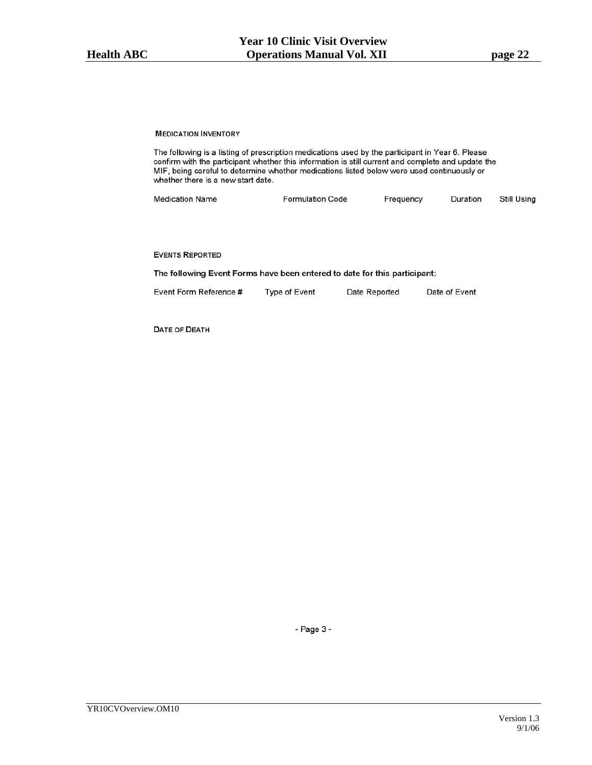#### **MEDICATION INVENTORY**

The following is a listing of prescription medications used by the participant in Year 6. Please confirm with the participant whether this information is still current and complete and update the MIF, being careful to determine whether medications listed below were used continuously or whether there is a new start date.

| <b>Medication Name</b> | <b>Formulation Code</b> | Frequency | Duration | Still Using |
|------------------------|-------------------------|-----------|----------|-------------|
|------------------------|-------------------------|-----------|----------|-------------|

#### **EVENTS REPORTED**

The following Event Forms have been entered to date for this participant:

| Event Form Reference # | Type of Event | Date Reported | Date of Event |
|------------------------|---------------|---------------|---------------|
|                        |               |               |               |

DATE OF DEATH

- Page 3 -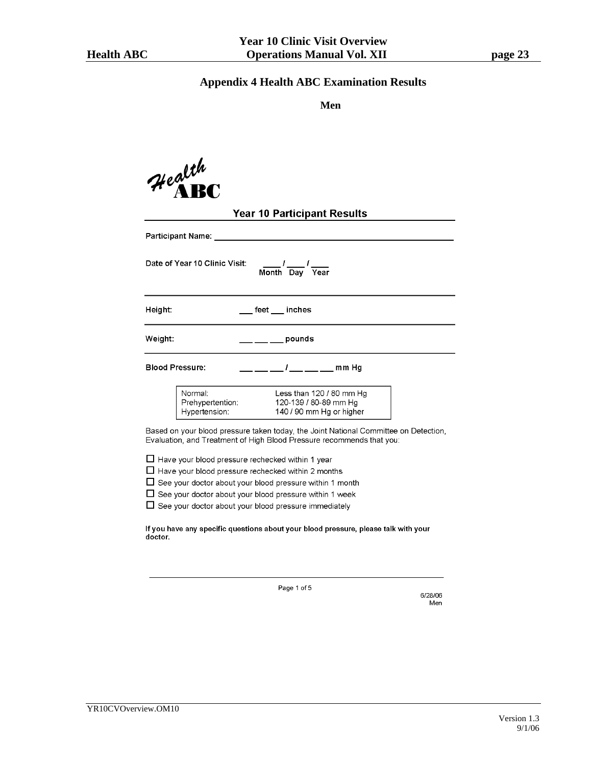#### **Appendix 4 Health ABC Examination Results**

**Men** 

| Health<br><b>Health</b>  |                                    |
|--------------------------|------------------------------------|
|                          | <b>Year 10 Participant Results</b> |
| <b>Participant Name:</b> |                                    |
|                          |                                    |

Date of Year 10 Clinic Visit:

 $\frac{1}{\text{Month}}$  Day  $\overline{Year}$ 

Height:

\_\_ feet \_\_\_ inches

Weight:

**Blood Pressure:** 

 $1 \_ \_ \_ \_ \$  mm Hg

 $\frac{1}{2}$  pounds

| Normal:          | Less than $120/80$ mm Hq |
|------------------|--------------------------|
| Prehypertention: | 120-139 / 80-89 mm Hg    |
| Hypertension:    | 140 / 90 mm Hg or higher |

Based on your blood pressure taken today, the Joint National Committee on Detection, Evaluation, and Treatment of High Blood Pressure recommends that you:

 $\Box$  Have your blood pressure rechecked within 1 year

 $\Box$  Have your blood pressure rechecked within 2 months

 $\Box$  See your doctor about your blood pressure within 1 month

 $\Box$  See your doctor about your blood pressure within 1 week

 $\Box$  See your doctor about your blood pressure immediately

If you have any specific questions about your blood pressure, please talk with your doctor.

Page 1 of 5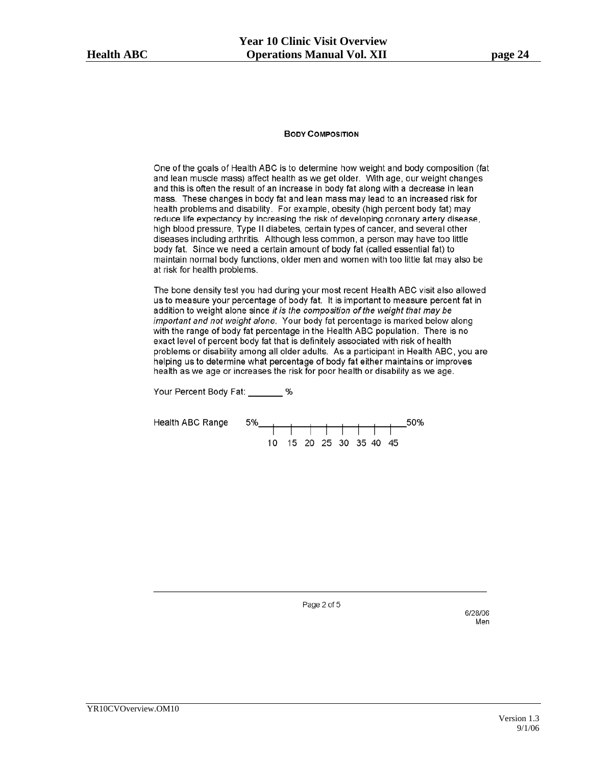#### **BODY COMPOSITION**

One of the goals of Health ABC is to determine how weight and body composition (fat and lean muscle mass) affect health as we get older. With age, our weight changes and this is often the result of an increase in body fat along with a decrease in lean mass. These changes in body fat and lean mass may lead to an increased risk for health problems and disability. For example, obesity (high percent body fat) may reduce life expectancy by increasing the risk of developing coronary artery disease, high blood pressure, Type II diabetes, certain types of cancer, and several other diseases including arthritis. Although less common, a person may have too little body fat. Since we need a certain amount of body fat (called essential fat) to maintain normal body functions, older men and women with too little fat may also be at risk for health problems.

The bone density test you had during your most recent Health ABC visit also allowed us to measure your percentage of body fat. It is important to measure percent fat in addition to weight alone since it is the composition of the weight that may be important and not weight alone. Your body fat percentage is marked below along with the range of body fat percentage in the Health ABC population. There is no exact level of percent body fat that is definitely associated with risk of health problems or disability among all older adults. As a participant in Health ABC, you are helping us to determine what percentage of body fat either maintains or improves health as we age or increases the risk for poor health or disability as we age.

Your Percent Body Fat: \_\_\_\_\_\_\_ %

**Health ABC Range** 



Page 2 of 5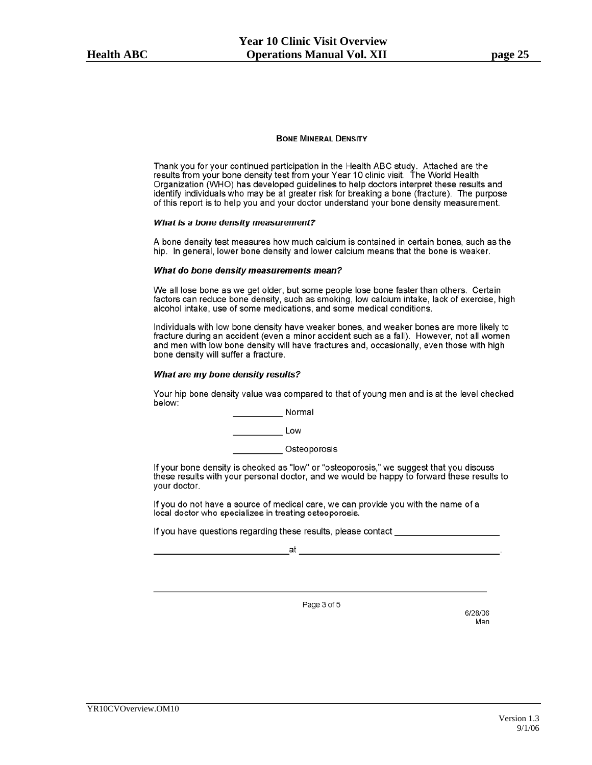#### **BONE MINERAL DENSITY**

Thank you for your continued participation in the Health ABC study. Attached are the results from your bone density test from your Year 10 clinic visit. The World Health Organization (WHO) has developed guidelines to help doctors interpret these results and identify individuals who may be at greater risk for breaking a bone (fracture). The purpose of this report is to help you and your doctor understand your bone density measurement.

#### What is a bone density measurement?

A bone density test measures how much calcium is contained in certain bones, such as the hip. In general, lower bone density and lower calcium means that the bone is weaker.

#### What do bone density measurements mean?

We all lose bone as we get older, but some people lose bone faster than others. Certain factors can reduce bone density, such as smoking, low calcium intake, lack of exercise, high alcohol intake, use of some medications, and some medical conditions.

Individuals with low bone density have weaker bones, and weaker bones are more likely to fracture during an accident (even a minor accident such as a fall). However, not all women and men with low bone density will have fractures and, occasionally, even those with high bone density will suffer a fracture.

#### What are my bone density results?

Your hip bone density value was compared to that of young men and is at the level checked below:

Normal

Low

\_Osteoporosis

If your bone density is checked as "low" or "osteoporosis," we suggest that you discuss these results with your personal doctor, and we would be happy to forward these results to your doctor.

If you do not have a source of medical care, we can provide you with the name of a local doctor who specializes in treating osteoporosis.

If you have questions regarding these results, please contact

at

Page 3 of 5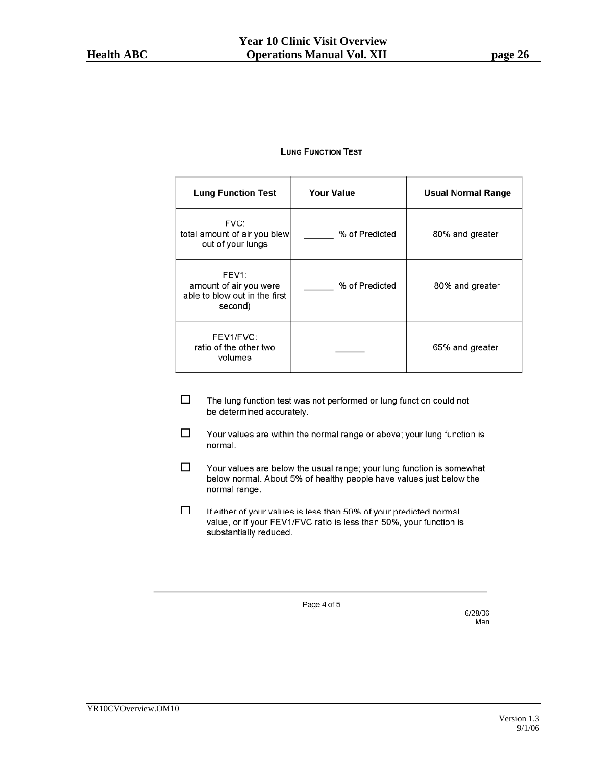#### **LUNG FUNCTION TEST**

| <b>Lung Function Test</b>                                                                | <b>Your Value</b> | <b>Usual Normal Range</b> |
|------------------------------------------------------------------------------------------|-------------------|---------------------------|
| FVC:<br>total amount of air you blew<br>out of your lungs                                | % of Predicted    | 80% and greater           |
| FEV <sub>1</sub> :<br>amount of air you were<br>able to blow out in the first<br>second) | % of Predicted    | 80% and greater           |
| FEV1/FVC:<br>ratio of the other two<br>volumes                                           |                   | 65% and greater           |

- $\Box$ The lung function test was not performed or lung function could not be determined accurately.
- $\Box$ Your values are within the normal range or above; your lung function is normal.
- $\Box$ Your values are below the usual range; your lung function is somewhat below normal. About 5% of healthy people have values just below the normal range.
- $\Box$ If either of your values is less than 50% of your predicted normal value, or if your FEV1/FVC ratio is less than 50%, your function is substantially reduced.

Page 4 of 5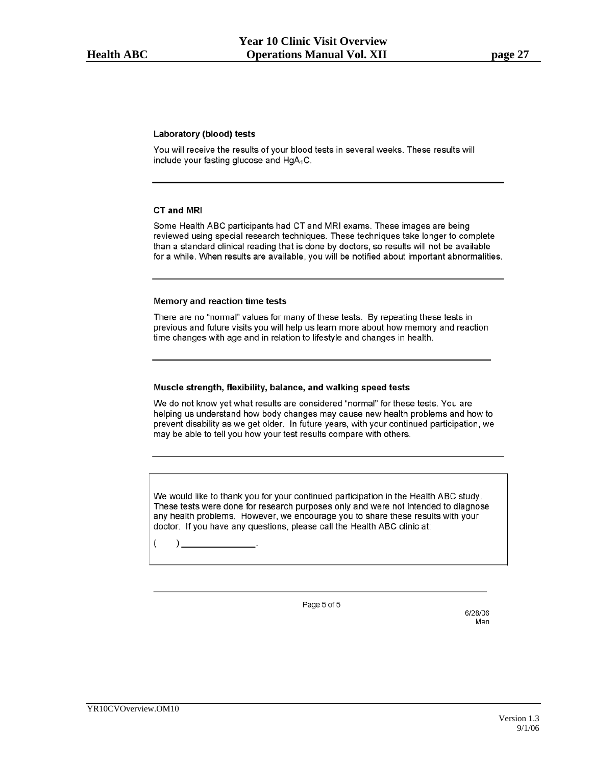#### **Laboratory (blood) tests**

You will receive the results of your blood tests in several weeks. These results will include your fasting glucose and HgA<sub>1</sub>C.

#### CT and MRI

Some Health ABC participants had CT and MRI exams. These images are being reviewed using special research techniques. These techniques take longer to complete than a standard clinical reading that is done by doctors, so results will not be available for a while. When results are available, you will be notified about important abnormalities.

#### Memory and reaction time tests

There are no "normal" values for many of these tests. By repeating these tests in previous and future visits you will help us learn more about how memory and reaction time changes with age and in relation to lifestyle and changes in health.

#### Muscle strength, flexibility, balance, and walking speed tests

We do not know yet what results are considered "normal" for these tests. You are helping us understand how body changes may cause new health problems and how to prevent disability as we get older. In future years, with your continued participation, we may be able to tell you how your test results compare with others.

We would like to thank you for your continued participation in the Health ABC study. These tests were done for research purposes only and were not intended to diagnose any health problems. However, we encourage you to share these results with your doctor. If you have any questions, please call the Health ABC clinic at:

 $\overline{(\ }$  $)$ 

Page 5 of 5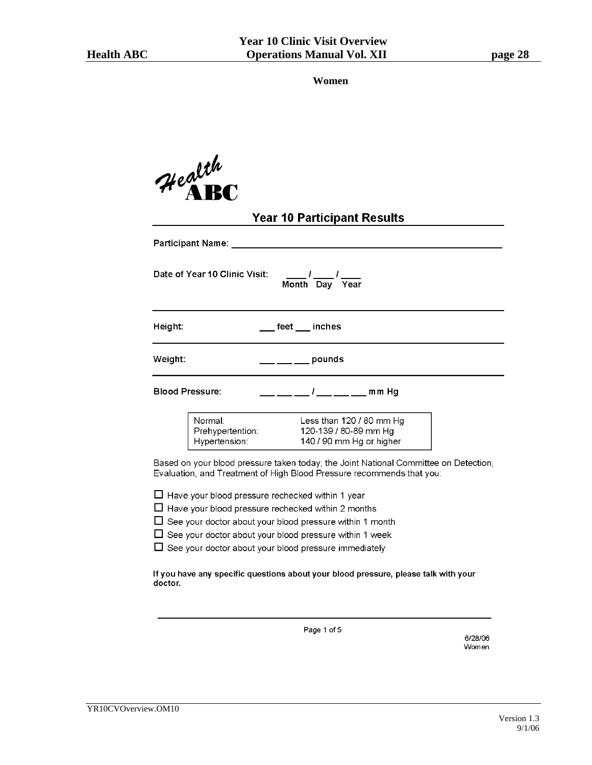**Women** 

|                        | Health<br>He RRC                                                                                                                                                                                                                                                                                                     |
|------------------------|----------------------------------------------------------------------------------------------------------------------------------------------------------------------------------------------------------------------------------------------------------------------------------------------------------------------|
|                        | <b>Year 10 Participant Results</b>                                                                                                                                                                                                                                                                                   |
|                        |                                                                                                                                                                                                                                                                                                                      |
|                        | Date of Year 10 Clinic Visit:<br>$\frac{1}{2}$ / $\frac{1}{2}$ / $\frac{1}{2}$ Year                                                                                                                                                                                                                                  |
| Height:                | ___ feet ___ inches                                                                                                                                                                                                                                                                                                  |
| Weight:                | _ ___ pounds                                                                                                                                                                                                                                                                                                         |
| <b>Blood Pressure:</b> | $\frac{1}{2}$ mm Hg                                                                                                                                                                                                                                                                                                  |
|                        | Normal:<br>Less than 120 / 80 mm Hg<br>Prehypertention:<br>Hypertension:<br>120-139 / 80-89 mm Hg<br>140 / 90 mm Hg or higher                                                                                                                                                                                        |
|                        | Based on your blood pressure taken today, the Joint National Committee on Detection,<br>Evaluation, and Treatment of High Blood Pressure recommends that you:                                                                                                                                                        |
|                        | □ Have your blood pressure rechecked within 1 year<br>$\Box$ Have your blood pressure rechecked within 2 months<br>$\Box$ See your doctor about your blood pressure within 1 month<br>$\Box$ See your doctor about your blood pressure within 1 week<br>$\Box$ See your doctor about your blood pressure immediately |
| doctor.                | If you have any specific questions about your blood pressure, please talk with your                                                                                                                                                                                                                                  |

Page 1 of 5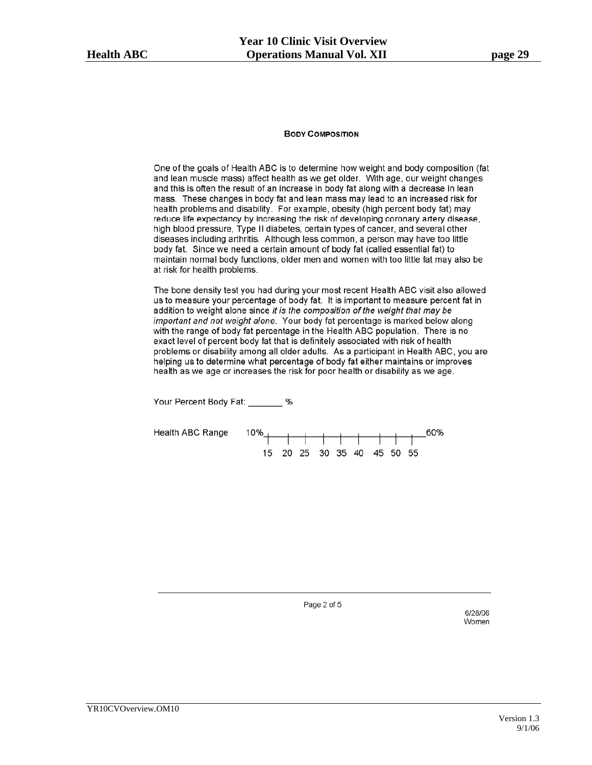#### **BODY COMPOSITION**

One of the goals of Health ABC is to determine how weight and body composition (fat and lean muscle mass) affect health as we get older. With age, our weight changes and this is often the result of an increase in body fat along with a decrease in lean mass. These changes in body fat and lean mass may lead to an increased risk for health problems and disability. For example, obesity (high percent body fat) may reduce life expectancy by increasing the risk of developing coronary artery disease, high blood pressure, Type II diabetes, certain types of cancer, and several other diseases including arthritis. Although less common, a person may have too little body fat. Since we need a certain amount of body fat (called essential fat) to maintain normal body functions, older men and women with too little fat may also be at risk for health problems.

The bone density test you had during your most recent Health ABC visit also allowed us to measure your percentage of body fat. It is important to measure percent fat in addition to weight alone since it is the composition of the weight that may be important and not weight alone. Your body fat percentage is marked below along with the range of body fat percentage in the Health ABC population. There is no exact level of percent body fat that is definitely associated with risk of health problems or disability among all older adults. As a participant in Health ABC, you are helping us to determine what percentage of body fat either maintains or improves health as we age or increases the risk for poor health or disability as we age.



Page 2 of 5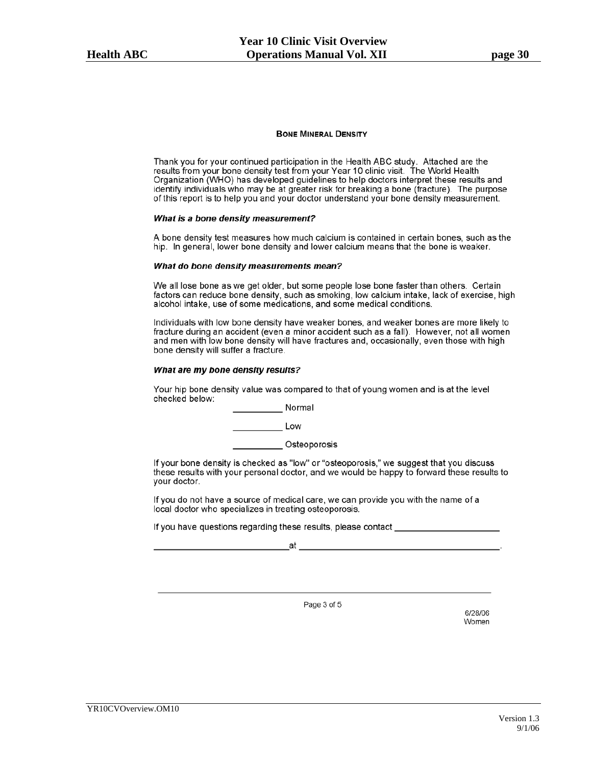#### **BONE MINERAL DENSITY**

Thank you for your continued participation in the Health ABC study. Attached are the results from your bone density test from your Year 10 clinic visit. The World Health Organization (WHO) has developed guidelines to help doctors interpret these results and identify individuals who may be at greater risk for breaking a bone (fracture). The purpose of this report is to help you and your doctor understand your bone density measurement.

#### What is a bone density measurement?

A bone density test measures how much calcium is contained in certain bones, such as the hip. In general, lower bone density and lower calcium means that the bone is weaker.

#### What do bone density measurements mean?

We all lose bone as we get older, but some people lose bone faster than others. Certain factors can reduce bone density, such as smoking, low calcium intake, lack of exercise, high alcohol intake, use of some medications, and some medical conditions.

Individuals with low bone density have weaker bones, and weaker bones are more likely to fracture during an accident (even a minor accident such as a fall). However, not all women and men with low bone density will have fractures and, occasionally, even those with high bone density will suffer a fracture.

#### What are my bone density results?

Your hip bone density value was compared to that of young women and is at the level checked below:

Normal

**Exercise Low** 

Osteoporosis

If your bone density is checked as "low" or "osteoporosis," we suggest that you discuss these results with your personal doctor, and we would be happy to forward these results to your doctor.

If you do not have a source of medical care, we can provide you with the name of a local doctor who specializes in treating osteoporosis.

If you have questions regarding these results, please contact \_\_\_\_\_\_\_\_\_\_\_\_\_\_\_\_\_\_

at

Page 3 of 5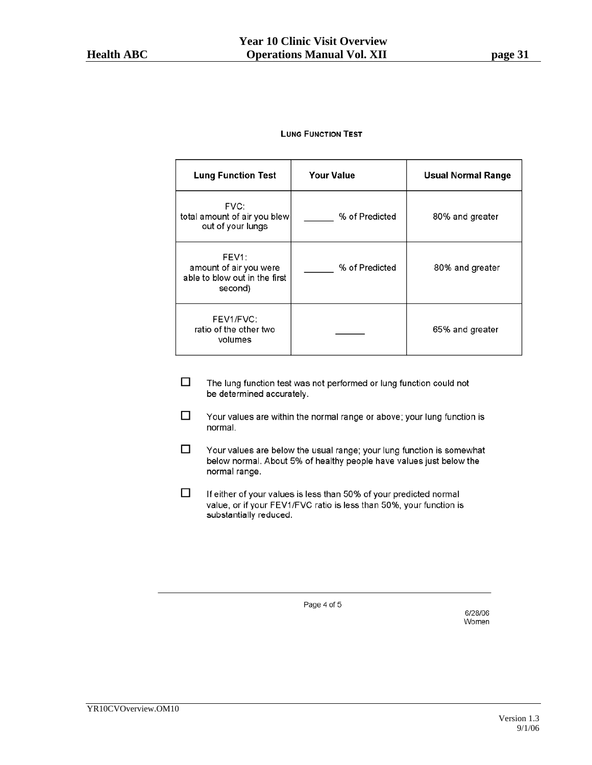#### **LUNG FUNCTION TEST**

| <b>Lung Function Test</b>                                                                | <b>Your Value</b> | <b>Usual Normal Range</b> |
|------------------------------------------------------------------------------------------|-------------------|---------------------------|
| FVC:<br>total amount of air you blew<br>out of your lungs                                | % of Predicted    | 80% and greater           |
| FEV <sub>1</sub> :<br>amount of air you were<br>able to blow out in the first<br>second) | % of Predicted    | 80% and greater           |
| FEV1/FVC:<br>ratio of the other two<br>volumes                                           |                   | 65% and greater           |

- $\Box$ The lung function test was not performed or lung function could not be determined accurately.
- $\Box$ Your values are within the normal range or above; your lung function is normal.
- $\Box$ Your values are below the usual range; your lung function is somewhat below normal. About 5% of healthy people have values just below the normal range.
- $\Box$ If either of your values is less than 50% of your predicted normal value, or if your FEV1/FVC ratio is less than 50%, your function is substantially reduced.

Page 4 of 5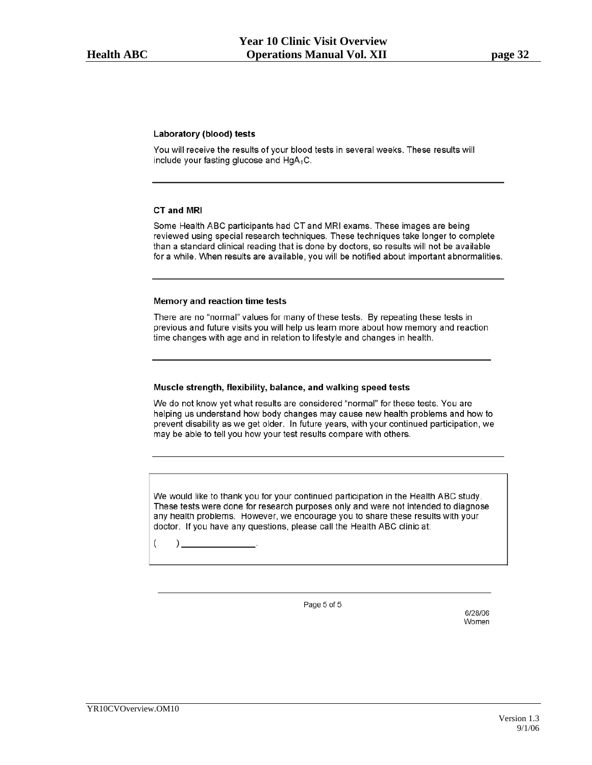#### **Laboratory (blood) tests**

You will receive the results of your blood tests in several weeks. These results will include your fasting glucose and HgA<sub>1</sub>C.

#### CT and MRI

Some Health ABC participants had CT and MRI exams. These images are being reviewed using special research techniques. These techniques take longer to complete than a standard clinical reading that is done by doctors, so results will not be available for a while. When results are available, you will be notified about important abnormalities.

#### Memory and reaction time tests

There are no "normal" values for many of these tests. By repeating these tests in previous and future visits you will help us learn more about how memory and reaction time changes with age and in relation to lifestyle and changes in health.

#### Muscle strength, flexibility, balance, and walking speed tests

We do not know yet what results are considered "normal" for these tests. You are helping us understand how body changes may cause new health problems and how to prevent disability as we get older. In future years, with your continued participation, we may be able to tell you how your test results compare with others.

We would like to thank you for your continued participation in the Health ABC study. These tests were done for research purposes only and were not intended to diagnose any health problems. However, we encourage you to share these results with your doctor. If you have any questions, please call the Health ABC clinic at:

 $\overline{(\ }$  $)$ 

Page 5 of 5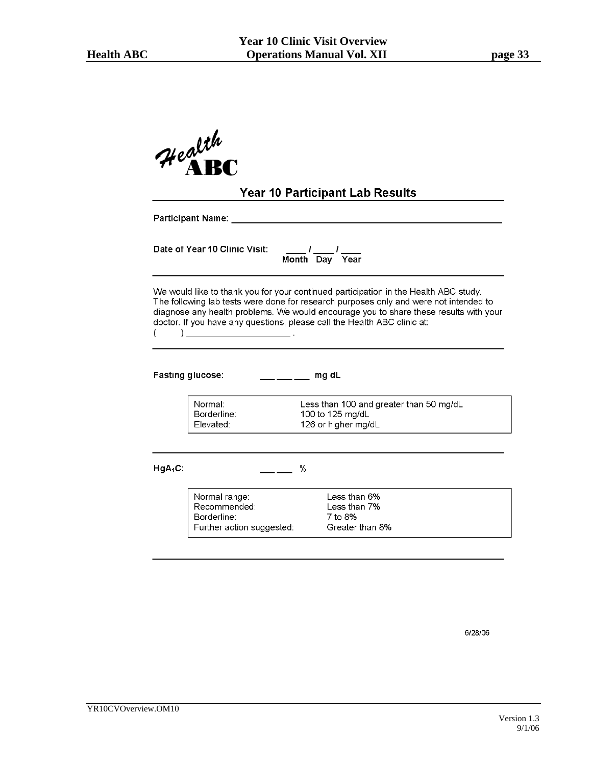|            | Health<br>Health                                                                                                                |                  | <b>Year 10 Participant Lab Results</b>                                                                                                                                                                                                                                 |  |
|------------|---------------------------------------------------------------------------------------------------------------------------------|------------------|------------------------------------------------------------------------------------------------------------------------------------------------------------------------------------------------------------------------------------------------------------------------|--|
|            | Participant Name: __                                                                                                            |                  |                                                                                                                                                                                                                                                                        |  |
|            | Date of Year 10 Clinic Visit:                                                                                                   | Month Day Year   |                                                                                                                                                                                                                                                                        |  |
|            | doctor. If you have any questions, please call the Health ABC clinic at:<br><u> 1980 - Andrea Andrew Maria II, amerikan per</u> |                  | We would like to thank you for your continued participation in the Health ABC study.<br>The following lab tests were done for research purposes only and were not intended to<br>diagnose any health problems. We would encourage you to share these results with your |  |
|            | <b>Fasting glucose:</b>                                                                                                         |                  |                                                                                                                                                                                                                                                                        |  |
|            | Normal:<br>Borderline:<br>Elevated:                                                                                             | 100 to 125 mg/dL | Less than 100 and greater than 50 mg/dL<br>126 or higher mg/dL                                                                                                                                                                                                         |  |
| $HgA_1C$ : |                                                                                                                                 | %                |                                                                                                                                                                                                                                                                        |  |
|            | Normal range:<br>Recommended:<br>Borderline:<br>Further action suggested:                                                       |                  | Less than 6%<br>Less than 7%<br>7 to 8%<br>Greater than 8%                                                                                                                                                                                                             |  |

6/28/06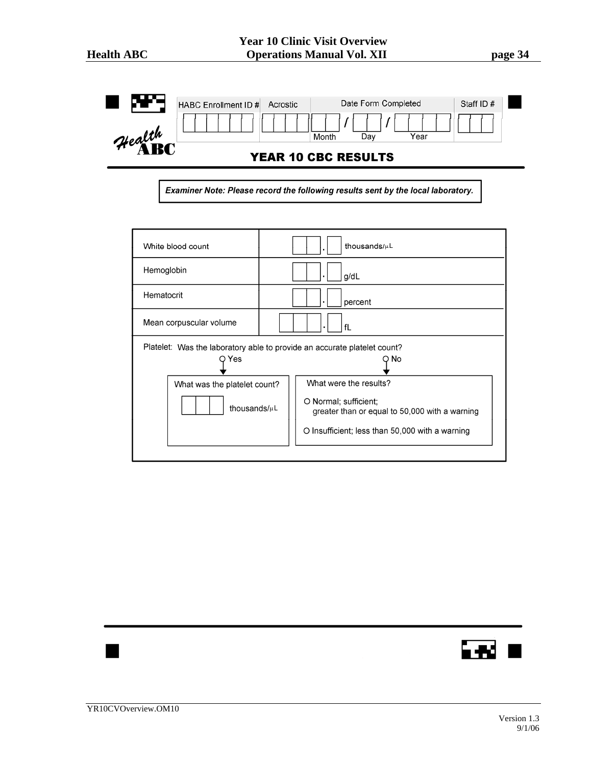|        | HABC Enrollment ID #<br>Acrostic | Date Form Completed        | Staff ID# |  |
|--------|----------------------------------|----------------------------|-----------|--|
| Health |                                  | Year<br>Dav<br>Month       |           |  |
|        |                                  | <b>YEAR 10 CBC RESULTS</b> |           |  |

Examiner Note: Please record the following results sent by the local laboratory.

| White blood count            | thousands/µL                                                                     |
|------------------------------|----------------------------------------------------------------------------------|
| Hemoglobin                   | g/dL<br>$\blacksquare$                                                           |
| Hematocrit                   | percent<br>٠                                                                     |
| Mean corpuscular volume      | fL                                                                               |
| Yes                          | Platelet: Was the laboratory able to provide an accurate platelet count?<br>O No |
| What was the platelet count? | What were the results?                                                           |
| thousands/uL                 | O Normal; sufficient;<br>greater than or equal to 50,000 with a warning          |
|                              | O Insufficient; less than 50,000 with a warning                                  |
|                              |                                                                                  |

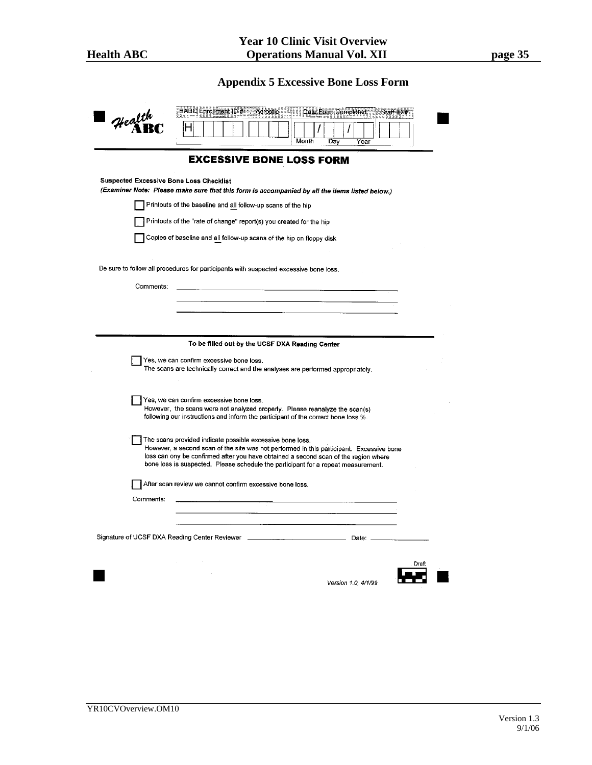# **Appendix 5 Excessive Bone Loss Form**

| Health<br><b>Suspected Excessive Bone Loss Checklist</b><br>(Examiner Note: Please make sure that this form is accompanied by all the items listed below.)<br>Printouts of the baseline and all follow-up scans of the hip<br>Printouts of the "rate of change" report(s) you created for the hip<br>Copies of baseline and all follow-up scans of the hip on floppy disk<br>Be sure to follow all procedures for participants with suspected excessive bone loss.<br>Comments:<br>Yes, we can confirm excessive bone loss.<br>The scans are technically correct and the analyses are performed appropriately.<br>Yes, we can confirm excessive bone loss.<br>However, the scans were not analyzed properly. Please reanalyze the scan(s)<br>following our instructions and inform the participant of the correct bone loss %.<br>The scans provided indicate possible excessive bone loss.<br>However, a second scan of the site was not performed in this participant. Excessive bone<br>loss can ony be confirmed after you have obtained a second scan of the region where<br>bone loss is suspected. Please schedule the participant for a repeat measurement.<br>After scan review we cannot confirm excessive bone loss.<br>Comments: | <b>EXCESSIVE BONE LOSS FORM</b><br>To be filled out by the UCSF DXA Reading Center | Month | Dav | Year |  |
|----------------------------------------------------------------------------------------------------------------------------------------------------------------------------------------------------------------------------------------------------------------------------------------------------------------------------------------------------------------------------------------------------------------------------------------------------------------------------------------------------------------------------------------------------------------------------------------------------------------------------------------------------------------------------------------------------------------------------------------------------------------------------------------------------------------------------------------------------------------------------------------------------------------------------------------------------------------------------------------------------------------------------------------------------------------------------------------------------------------------------------------------------------------------------------------------------------------------------------------------|------------------------------------------------------------------------------------|-------|-----|------|--|
|                                                                                                                                                                                                                                                                                                                                                                                                                                                                                                                                                                                                                                                                                                                                                                                                                                                                                                                                                                                                                                                                                                                                                                                                                                              |                                                                                    |       |     |      |  |
|                                                                                                                                                                                                                                                                                                                                                                                                                                                                                                                                                                                                                                                                                                                                                                                                                                                                                                                                                                                                                                                                                                                                                                                                                                              |                                                                                    |       |     |      |  |
|                                                                                                                                                                                                                                                                                                                                                                                                                                                                                                                                                                                                                                                                                                                                                                                                                                                                                                                                                                                                                                                                                                                                                                                                                                              |                                                                                    |       |     |      |  |
|                                                                                                                                                                                                                                                                                                                                                                                                                                                                                                                                                                                                                                                                                                                                                                                                                                                                                                                                                                                                                                                                                                                                                                                                                                              |                                                                                    |       |     |      |  |
|                                                                                                                                                                                                                                                                                                                                                                                                                                                                                                                                                                                                                                                                                                                                                                                                                                                                                                                                                                                                                                                                                                                                                                                                                                              |                                                                                    |       |     |      |  |
|                                                                                                                                                                                                                                                                                                                                                                                                                                                                                                                                                                                                                                                                                                                                                                                                                                                                                                                                                                                                                                                                                                                                                                                                                                              |                                                                                    |       |     |      |  |
|                                                                                                                                                                                                                                                                                                                                                                                                                                                                                                                                                                                                                                                                                                                                                                                                                                                                                                                                                                                                                                                                                                                                                                                                                                              |                                                                                    |       |     |      |  |
|                                                                                                                                                                                                                                                                                                                                                                                                                                                                                                                                                                                                                                                                                                                                                                                                                                                                                                                                                                                                                                                                                                                                                                                                                                              |                                                                                    |       |     |      |  |
|                                                                                                                                                                                                                                                                                                                                                                                                                                                                                                                                                                                                                                                                                                                                                                                                                                                                                                                                                                                                                                                                                                                                                                                                                                              |                                                                                    |       |     |      |  |
|                                                                                                                                                                                                                                                                                                                                                                                                                                                                                                                                                                                                                                                                                                                                                                                                                                                                                                                                                                                                                                                                                                                                                                                                                                              |                                                                                    |       |     |      |  |
|                                                                                                                                                                                                                                                                                                                                                                                                                                                                                                                                                                                                                                                                                                                                                                                                                                                                                                                                                                                                                                                                                                                                                                                                                                              |                                                                                    |       |     |      |  |
|                                                                                                                                                                                                                                                                                                                                                                                                                                                                                                                                                                                                                                                                                                                                                                                                                                                                                                                                                                                                                                                                                                                                                                                                                                              |                                                                                    |       |     |      |  |
|                                                                                                                                                                                                                                                                                                                                                                                                                                                                                                                                                                                                                                                                                                                                                                                                                                                                                                                                                                                                                                                                                                                                                                                                                                              |                                                                                    |       |     |      |  |
|                                                                                                                                                                                                                                                                                                                                                                                                                                                                                                                                                                                                                                                                                                                                                                                                                                                                                                                                                                                                                                                                                                                                                                                                                                              |                                                                                    |       |     |      |  |
|                                                                                                                                                                                                                                                                                                                                                                                                                                                                                                                                                                                                                                                                                                                                                                                                                                                                                                                                                                                                                                                                                                                                                                                                                                              |                                                                                    |       |     |      |  |
|                                                                                                                                                                                                                                                                                                                                                                                                                                                                                                                                                                                                                                                                                                                                                                                                                                                                                                                                                                                                                                                                                                                                                                                                                                              |                                                                                    |       |     |      |  |
|                                                                                                                                                                                                                                                                                                                                                                                                                                                                                                                                                                                                                                                                                                                                                                                                                                                                                                                                                                                                                                                                                                                                                                                                                                              |                                                                                    |       |     |      |  |
|                                                                                                                                                                                                                                                                                                                                                                                                                                                                                                                                                                                                                                                                                                                                                                                                                                                                                                                                                                                                                                                                                                                                                                                                                                              |                                                                                    |       |     |      |  |
|                                                                                                                                                                                                                                                                                                                                                                                                                                                                                                                                                                                                                                                                                                                                                                                                                                                                                                                                                                                                                                                                                                                                                                                                                                              |                                                                                    |       |     |      |  |
|                                                                                                                                                                                                                                                                                                                                                                                                                                                                                                                                                                                                                                                                                                                                                                                                                                                                                                                                                                                                                                                                                                                                                                                                                                              |                                                                                    |       |     |      |  |
|                                                                                                                                                                                                                                                                                                                                                                                                                                                                                                                                                                                                                                                                                                                                                                                                                                                                                                                                                                                                                                                                                                                                                                                                                                              |                                                                                    |       |     |      |  |
|                                                                                                                                                                                                                                                                                                                                                                                                                                                                                                                                                                                                                                                                                                                                                                                                                                                                                                                                                                                                                                                                                                                                                                                                                                              |                                                                                    |       |     |      |  |
|                                                                                                                                                                                                                                                                                                                                                                                                                                                                                                                                                                                                                                                                                                                                                                                                                                                                                                                                                                                                                                                                                                                                                                                                                                              |                                                                                    |       |     |      |  |
|                                                                                                                                                                                                                                                                                                                                                                                                                                                                                                                                                                                                                                                                                                                                                                                                                                                                                                                                                                                                                                                                                                                                                                                                                                              |                                                                                    |       |     |      |  |
|                                                                                                                                                                                                                                                                                                                                                                                                                                                                                                                                                                                                                                                                                                                                                                                                                                                                                                                                                                                                                                                                                                                                                                                                                                              |                                                                                    |       |     |      |  |
|                                                                                                                                                                                                                                                                                                                                                                                                                                                                                                                                                                                                                                                                                                                                                                                                                                                                                                                                                                                                                                                                                                                                                                                                                                              |                                                                                    |       |     |      |  |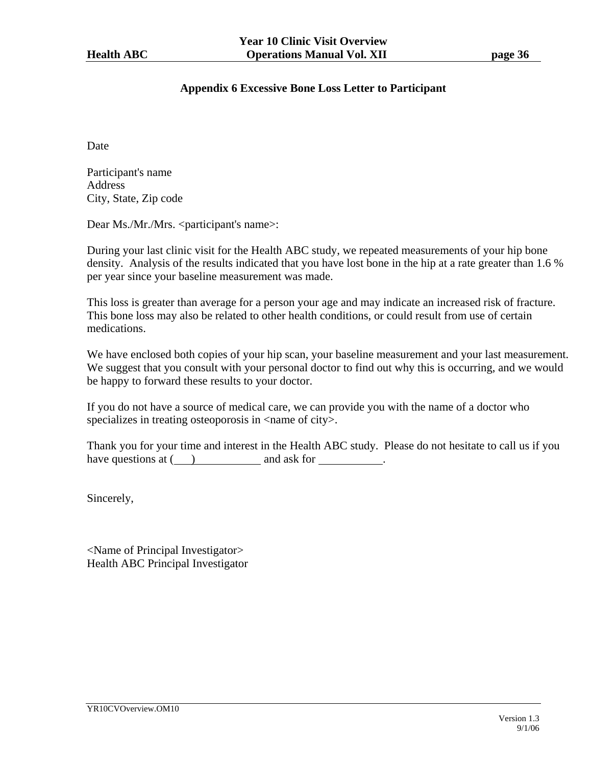# **Appendix 6 Excessive Bone Loss Letter to Participant**

Date

Participant's name Address City, State, Zip code

Dear Ms./Mr./Mrs. <participant's name>:

During your last clinic visit for the Health ABC study, we repeated measurements of your hip bone density. Analysis of the results indicated that you have lost bone in the hip at a rate greater than 1.6 % per year since your baseline measurement was made.

This loss is greater than average for a person your age and may indicate an increased risk of fracture. This bone loss may also be related to other health conditions, or could result from use of certain medications.

We have enclosed both copies of your hip scan, your baseline measurement and your last measurement. We suggest that you consult with your personal doctor to find out why this is occurring, and we would be happy to forward these results to your doctor.

If you do not have a source of medical care, we can provide you with the name of a doctor who specializes in treating osteoporosis in  $\langle$  -name of city $\rangle$ .

Thank you for your time and interest in the Health ABC study. Please do not hesitate to call us if you have questions at  $($ ) and ask for  $\qquad$ .

Sincerely,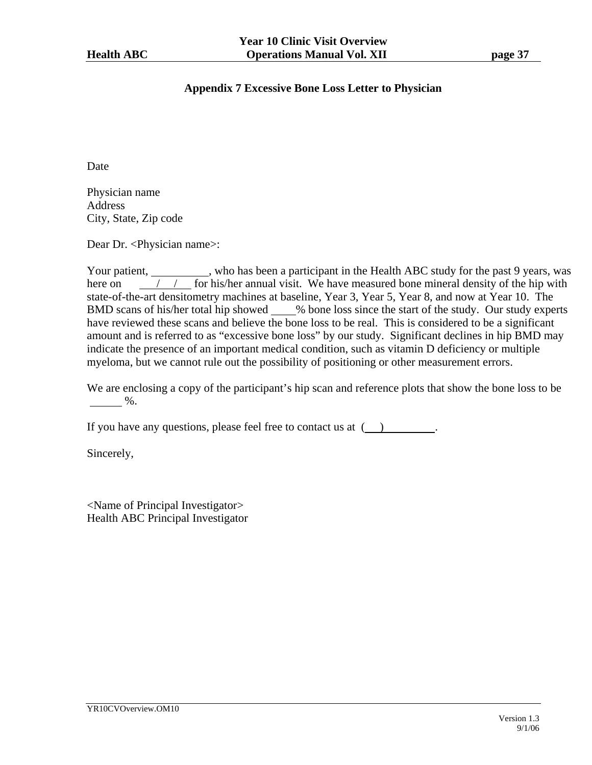### **Appendix 7 Excessive Bone Loss Letter to Physician**

Date

Physician name Address City, State, Zip code

Dear Dr. <Physician name>:

Your patient, who has been a participant in the Health ABC study for the past 9 years, was here on  $\frac{1}{\sqrt{2}}$  for his/her annual visit. We have measured bone mineral density of the hip with state-of-the-art densitometry machines at baseline, Year 3, Year 5, Year 8, and now at Year 10. The BMD scans of his/her total hip showed % bone loss since the start of the study. Our study experts have reviewed these scans and believe the bone loss to be real. This is considered to be a significant amount and is referred to as "excessive bone loss" by our study. Significant declines in hip BMD may indicate the presence of an important medical condition, such as vitamin D deficiency or multiple myeloma, but we cannot rule out the possibility of positioning or other measurement errors.

We are enclosing a copy of the participant's hip scan and reference plots that show the bone loss to be  $\frac{9}{6}$ .

If you have any questions, please feel free to contact us at  $($ ).

Sincerely,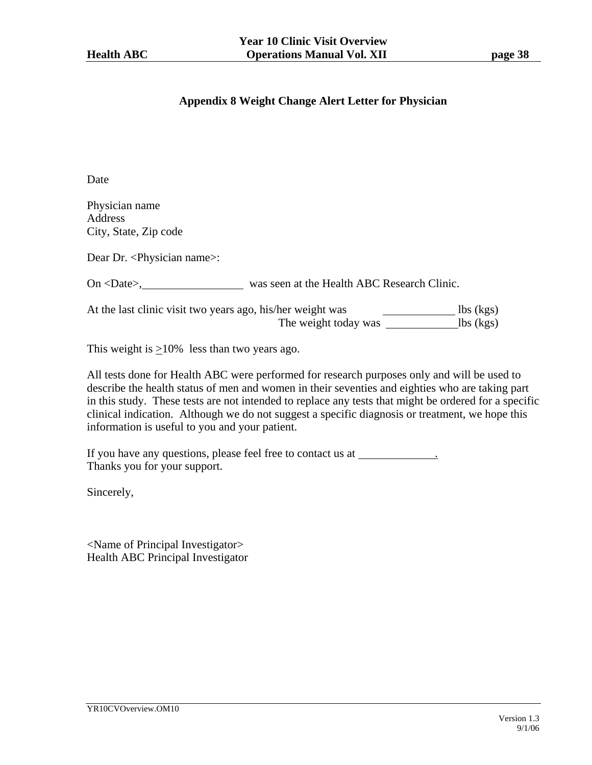# **Appendix 8 Weight Change Alert Letter for Physician**

Date

Physician name Address City, State, Zip code

Dear Dr. <Physician name>:

On <Date>, was seen at the Health ABC Research Clinic.

At the last clinic visit two years ago, his/her weight was The weight today was lbs (kgs)

This weight is  $\geq 10\%$  less than two years ago.

All tests done for Health ABC were performed for research purposes only and will be used to describe the health status of men and women in their seventies and eighties who are taking part in this study. These tests are not intended to replace any tests that might be ordered for a specific clinical indication. Although we do not suggest a specific diagnosis or treatment, we hope this information is useful to you and your patient.

If you have any questions, please feel free to contact us at \_\_\_\_\_\_\_\_\_\_\_\_\_\_\_\_\_\_\_ Thanks you for your support.

Sincerely,